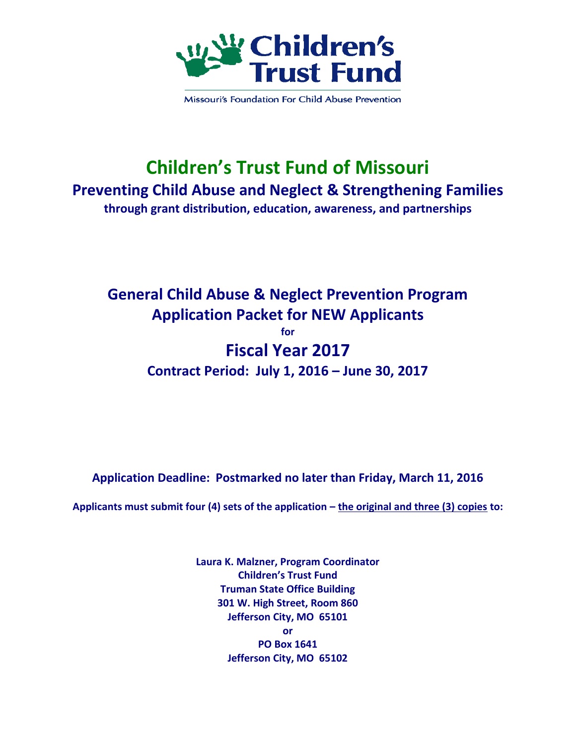

Missouri's Foundation For Child Abuse Prevention

## **Children's Trust Fund of Missouri Preventing Child Abuse and Neglect & Strengthening Families through grant distribution, education, awareness, and partnerships**

### **General Child Abuse & Neglect Prevention Program Application Packet for NEW Applicants for Fiscal Year 2017 Contract Period: July 1, 2016 – June 30, 2017**

**Application Deadline: Postmarked no later than Friday, March 11, 2016**

**Applicants must submit four (4) sets of the application – the original and three (3) copies to:**

**Laura K. Malzner, Program Coordinator Children's Trust Fund Truman State Office Building 301 W. High Street, Room 860 Jefferson City, MO 65101 or PO Box 1641 Jefferson City, MO 65102**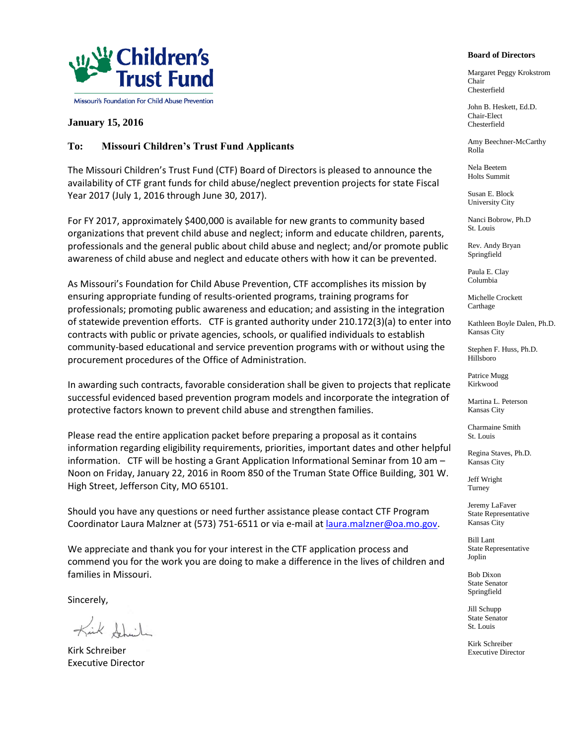

#### **January 15, 2016**

#### **To: Missouri Children's Trust Fund Applicants**

The Missouri Children's Trust Fund (CTF) Board of Directors is pleased to announce the availability of CTF grant funds for child abuse/neglect prevention projects for state Fiscal Year 2017 (July 1, 2016 through June 30, 2017).

For FY 2017, approximately \$400,000 is available for new grants to community based organizations that prevent child abuse and neglect; inform and educate children, parents, professionals and the general public about child abuse and neglect; and/or promote public awareness of child abuse and neglect and educate others with how it can be prevented.

As Missouri's Foundation for Child Abuse Prevention, CTF accomplishes its mission by ensuring appropriate funding of results-oriented programs, training programs for professionals; promoting public awareness and education; and assisting in the integration of statewide prevention efforts. CTF is granted authority under 210.172(3)(a) to enter into contracts with public or private agencies, schools, or qualified individuals to establish community-based educational and service prevention programs with or without using the procurement procedures of the Office of Administration.

In awarding such contracts, favorable consideration shall be given to projects that replicate successful evidenced based prevention program models and incorporate the integration of protective factors known to prevent child abuse and strengthen families.

Please read the entire application packet before preparing a proposal as it contains information regarding eligibility requirements, priorities, important dates and other helpful information. CTF will be hosting a Grant Application Informational Seminar from 10 am – Noon on Friday, January 22, 2016 in Room 850 of the Truman State Office Building, 301 W. High Street, Jefferson City, MO 65101.

Should you have any questions or need further assistance please contact CTF Program Coordinator Laura Malzner at (573) 751-6511 or via e-mail a[t laura.malzner@oa.mo.gov.](mailto:laura.malzner@oa.mo.gov)

We appreciate and thank you for your interest in the CTF application process and commend you for the work you are doing to make a difference in the lives of children and families in Missouri.

Sincerely,

Kirk Shuile

Kirk Schreiber Executive Director

#### **Board of Directors**

Margaret Peggy Krokstrom Chair Chesterfield

John B. Heskett, Ed.D. Chair-Elect Chesterfield

Amy Beechner-McCarthy Rolla

Nela Beetem Holts Summit

Susan E. Block University City

Nanci Bobrow, Ph.D St. Louis

Rev. Andy Bryan Springfield

Paula E. Clay Columbia

Michelle Crockett Carthage

Kathleen Boyle Dalen, Ph.D. Kansas City

Stephen F. Huss, Ph.D. Hillsboro

Patrice Mugg Kirkwood

Martina L. Peterson Kansas City

Charmaine Smith St. Louis

Regina Staves, Ph.D. Kansas City

Jeff Wright Turney

Jeremy LaFaver State Representative Kansas City

Bill Lant State Representative Joplin

Bob Dixon State Senator Springfield

Jill Schupp State Senator St. Louis

Kirk Schreiber Executive Director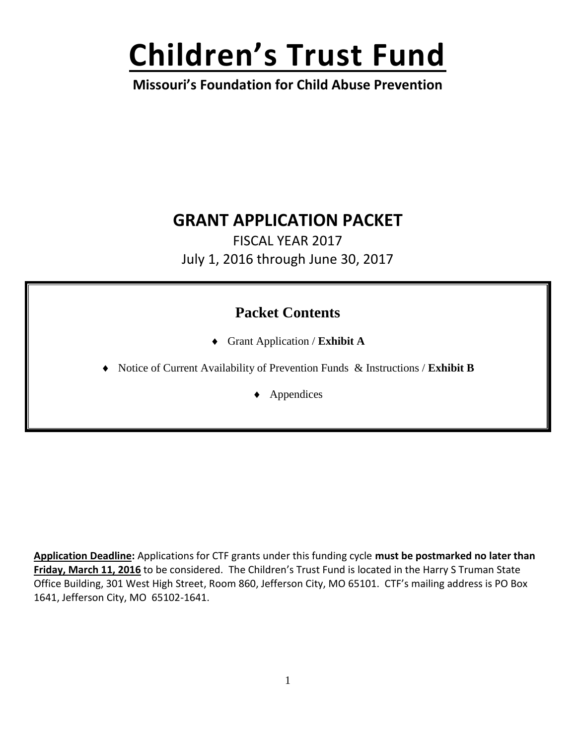# **Children's Trust Fund**

**Missouri's Foundation for Child Abuse Prevention**

## **GRANT APPLICATION PACKET**

FISCAL YEAR 2017 July 1, 2016 through June 30, 2017

### **Packet Contents**

- Grant Application / **Exhibit A**
- Notice of Current Availability of Prevention Funds & Instructions / **Exhibit B**

◆ Appendices

**Application Deadline:** Applications for CTF grants under this funding cycle **must be postmarked no later than Friday, March 11, 2016** to be considered.The Children's Trust Fund is located in the Harry S Truman State Office Building, 301 West High Street, Room 860, Jefferson City, MO 65101. CTF's mailing address is PO Box 1641, Jefferson City, MO 65102-1641.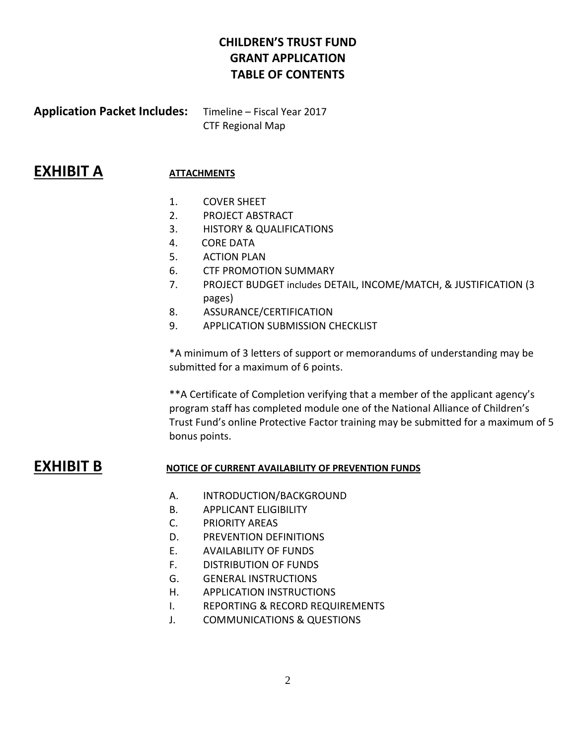#### **CHILDREN'S TRUST FUND GRANT APPLICATION TABLE OF CONTENTS**

**Application Packet Includes:** Timeline – Fiscal Year 2017 CTF Regional Map

#### **EXHIBIT A ATTACHMENTS**

- 1. COVER SHEET
- 2. PROJECT ABSTRACT
- 3. HISTORY & QUALIFICATIONS
- 4. CORE DATA
- 5. ACTION PLAN
- 6. CTF PROMOTION SUMMARY
- 7. PROJECT BUDGET includes DETAIL, INCOME/MATCH, & JUSTIFICATION (3 pages)
- 8. ASSURANCE/CERTIFICATION
- 9. APPLICATION SUBMISSION CHECKLIST

\*A minimum of 3 letters of support or memorandums of understanding may be submitted for a maximum of 6 points.

\*\*A Certificate of Completion verifying that a member of the applicant agency's program staff has completed module one of the National Alliance of Children's Trust Fund's online Protective Factor training may be submitted for a maximum of 5 bonus points.

- **EXHIBIT B NOTICE OF CURRENT AVAILABILITY OF PREVENTION FUNDS**
	- A. INTRODUCTION/BACKGROUND
	- B. APPLICANT ELIGIBILITY
	- C. PRIORITY AREAS
	- D. PREVENTION DEFINITIONS
	- E. AVAILABILITY OF FUNDS
	- F. DISTRIBUTION OF FUNDS
	- G. GENERAL INSTRUCTIONS
	- H. APPLICATION INSTRUCTIONS
	- I. REPORTING & RECORD REQUIREMENTS
	- J. COMMUNICATIONS & QUESTIONS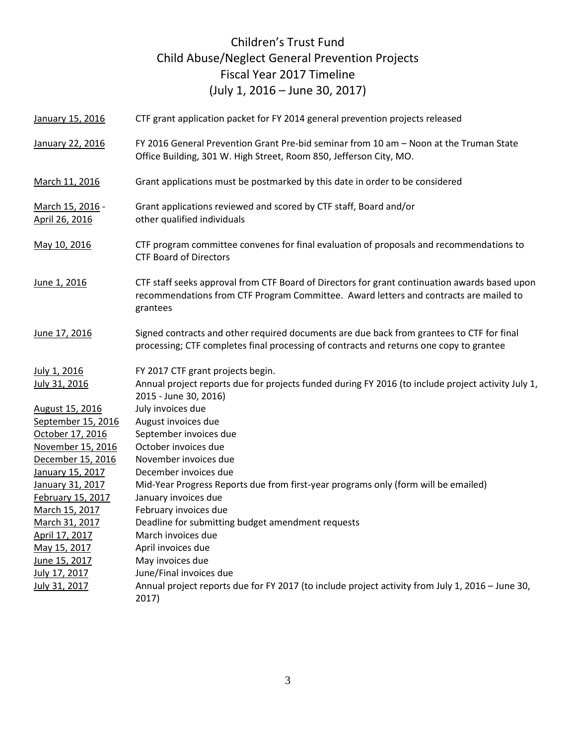#### Children's Trust Fund Child Abuse/Neglect General Prevention Projects Fiscal Year 2017 Timeline (July 1, 2016 – June 30, 2017)

| January 15, 2016                   | CTF grant application packet for FY 2014 general prevention projects released                                                                                                                      |
|------------------------------------|----------------------------------------------------------------------------------------------------------------------------------------------------------------------------------------------------|
| January 22, 2016                   | FY 2016 General Prevention Grant Pre-bid seminar from 10 am - Noon at the Truman State<br>Office Building, 301 W. High Street, Room 850, Jefferson City, MO.                                       |
| March 11, 2016                     | Grant applications must be postmarked by this date in order to be considered                                                                                                                       |
| March 15, 2016 -<br>April 26, 2016 | Grant applications reviewed and scored by CTF staff, Board and/or<br>other qualified individuals                                                                                                   |
| May 10, 2016                       | CTF program committee convenes for final evaluation of proposals and recommendations to<br><b>CTF Board of Directors</b>                                                                           |
| June 1, 2016                       | CTF staff seeks approval from CTF Board of Directors for grant continuation awards based upon<br>recommendations from CTF Program Committee. Award letters and contracts are mailed to<br>grantees |
| June 17, 2016                      | Signed contracts and other required documents are due back from grantees to CTF for final<br>processing; CTF completes final processing of contracts and returns one copy to grantee               |
| July 1, 2016<br>July 31, 2016      | FY 2017 CTF grant projects begin.<br>Annual project reports due for projects funded during FY 2016 (to include project activity July 1,<br>2015 - June 30, 2016)                                   |
| August 15, 2016                    | July invoices due                                                                                                                                                                                  |
| September 15, 2016                 | August invoices due                                                                                                                                                                                |
| October 17, 2016                   | September invoices due                                                                                                                                                                             |
| November 15, 2016                  | October invoices due                                                                                                                                                                               |
| December 15, 2016                  | November invoices due                                                                                                                                                                              |
| January 15, 2017                   | December invoices due                                                                                                                                                                              |
| January 31, 2017                   | Mid-Year Progress Reports due from first-year programs only (form will be emailed)                                                                                                                 |
| February 15, 2017                  | January invoices due                                                                                                                                                                               |
| March 15, 2017                     | February invoices due                                                                                                                                                                              |
| March 31, 2017                     | Deadline for submitting budget amendment requests                                                                                                                                                  |
| April 17, 2017                     | March invoices due                                                                                                                                                                                 |
| May 15, 2017                       | April invoices due                                                                                                                                                                                 |
| June 15, 2017                      | May invoices due                                                                                                                                                                                   |
| July 17, 2017                      | June/Final invoices due                                                                                                                                                                            |
| July 31, 2017                      | Annual project reports due for FY 2017 (to include project activity from July 1, 2016 - June 30,<br>2017)                                                                                          |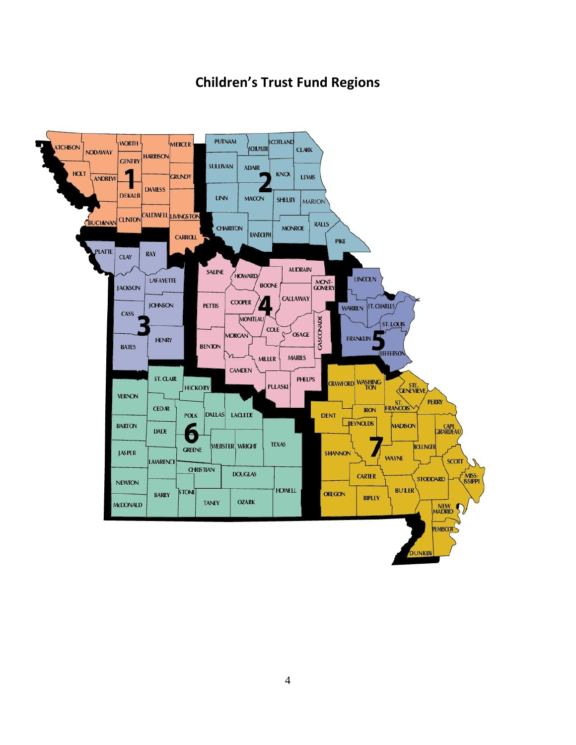### **Children's Trust Fund Regions**

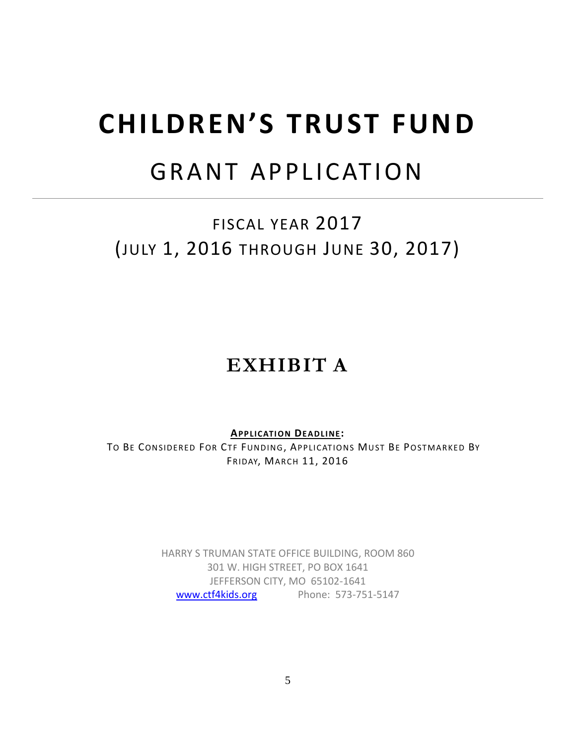## **CHILDREN'S TRUST FUND**

## GRANT APPLICATION

FISCAL YEAR 2017 (JULY 1, 2016 THROUGH JUNE 30, 2017)

## **EXHIBIT A**

**APP LICATION DEAD LINE:**

TO BE CONSIDERED FOR CTF FUNDING, APPLICATIONS MUST BE POSTMARKED BY FRIDAY, MARCH 11, 2016

> HARRY S TRUMAN STATE OFFICE BUILDING, ROOM 860 301 W. HIGH STREET, PO BOX 1641 JEFFERSON CITY, MO 65102-1641 [www.ctf4kids.org](http://www.ctf4kids.org/) Phone: 573-751-5147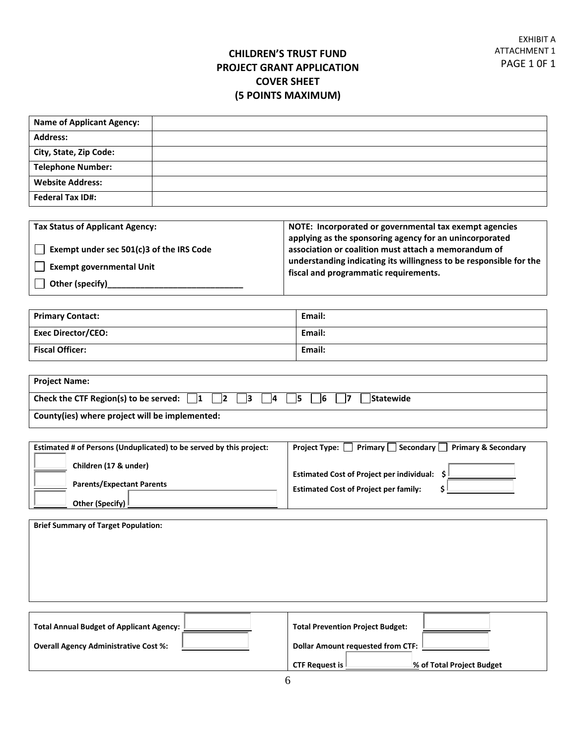#### **CHILDREN'S TRUST FUND PROJECT GRANT APPLICATION COVER SHEET (5 POINTS MAXIMUM)**

| <b>Name of Applicant Agency:</b> |  |
|----------------------------------|--|
| <b>Address:</b>                  |  |
| City, State, Zip Code:           |  |
| <b>Telephone Number:</b>         |  |
| <b>Website Address:</b>          |  |
| <b>Federal Tax ID#:</b>          |  |

| <b>Tax Status of Applicant Agency:</b>   | NOTE: Incorporated or governmental tax exempt agencies                                                      |  |  |
|------------------------------------------|-------------------------------------------------------------------------------------------------------------|--|--|
|                                          | applying as the sponsoring agency for an unincorporated                                                     |  |  |
| Exempt under sec 501(c)3 of the IRS Code | association or coalition must attach a memorandum of                                                        |  |  |
| <b>Exempt governmental Unit</b>          | understanding indicating its willingness to be responsible for the<br>fiscal and programmatic requirements. |  |  |
| Other (specify)                          |                                                                                                             |  |  |

| <b>Primary Contact:</b>   | Email: |
|---------------------------|--------|
| <b>Exec Director/CEO:</b> | Email: |
| <b>Fiscal Officer:</b>    | Email: |

| <b>Project Name:</b>                                                                                                   |
|------------------------------------------------------------------------------------------------------------------------|
| Check the CTF Region(s) to be served: $\begin{vmatrix} 1 & 2 \end{vmatrix}$<br>   3    4    5    6<br><b>Statewide</b> |
| County(ies) where project will be implemented:                                                                         |

| Estimated # of Persons (Unduplicated) to be served by this project: | Primary $\Box$ Secondary $\Box$<br><b>Primary &amp; Secondary</b><br><b>Project Type:</b> |
|---------------------------------------------------------------------|-------------------------------------------------------------------------------------------|
| Children (17 & under)                                               | <b>Estimated Cost of Project per individual:</b>                                          |
| <b>Parents/Expectant Parents</b>                                    | <b>Estimated Cost of Project per family:</b>                                              |
| Other (Specify) !                                                   |                                                                                           |

| <b>Brief Summary of Target Population:</b>   |                                          |
|----------------------------------------------|------------------------------------------|
|                                              |                                          |
|                                              |                                          |
| Total Annual Budget of Applicant Agency:     | <b>Total Prevention Project Budget:</b>  |
| <b>Overall Agency Administrative Cost %:</b> | <b>Dollar Amount requested from CTF:</b> |

**CTF Request is % of Total Project Budget**

**Overall Agency Administrative Cost %:**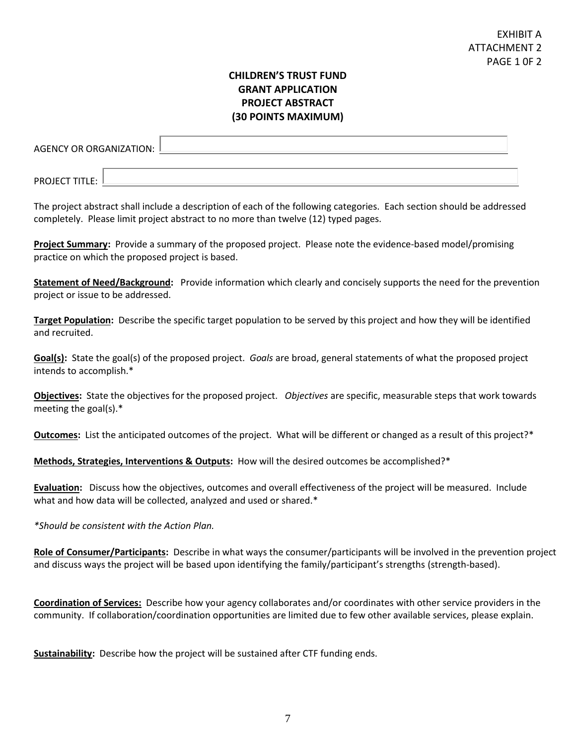#### **CHILDREN'S TRUST FUND GRANT APPLICATION PROJECT ABSTRACT (30 POINTS MAXIMUM)**

| AGENCY OR ORGANIZATION: L |  |
|---------------------------|--|
| <b>PROJECT TITLE:</b>     |  |

The project abstract shall include a description of each of the following categories. Each section should be addressed completely. Please limit project abstract to no more than twelve (12) typed pages.

**Project Summary:** Provide a summary of the proposed project. Please note the evidence-based model/promising practice on which the proposed project is based.

**Statement of Need/Background:** Provide information which clearly and concisely supports the need for the prevention project or issue to be addressed.

**Target Population:** Describe the specific target population to be served by this project and how they will be identified and recruited.

**Goal(s):** State the goal(s) of the proposed project. *Goals* are broad, general statements of what the proposed project intends to accomplish.\*

**Objectives:** State the objectives for the proposed project. *Objectives* are specific, measurable steps that work towards meeting the goal(s).\*

**Outcomes:** List the anticipated outcomes of the project. What will be different or changed as a result of this project?\*

**Methods, Strategies, Interventions & Outputs:** How will the desired outcomes be accomplished?\*

**Evaluation:** Discuss how the objectives, outcomes and overall effectiveness of the project will be measured. Include what and how data will be collected, analyzed and used or shared.\*

*\*Should be consistent with the Action Plan.*

**Role of Consumer/Participants:** Describe in what ways the consumer/participants will be involved in the prevention project and discuss ways the project will be based upon identifying the family/participant's strengths (strength-based).

**Coordination of Services:** Describe how your agency collaborates and/or coordinates with other service providers in the community. If collaboration/coordination opportunities are limited due to few other available services, please explain.

**Sustainability:** Describe how the project will be sustained after CTF funding ends.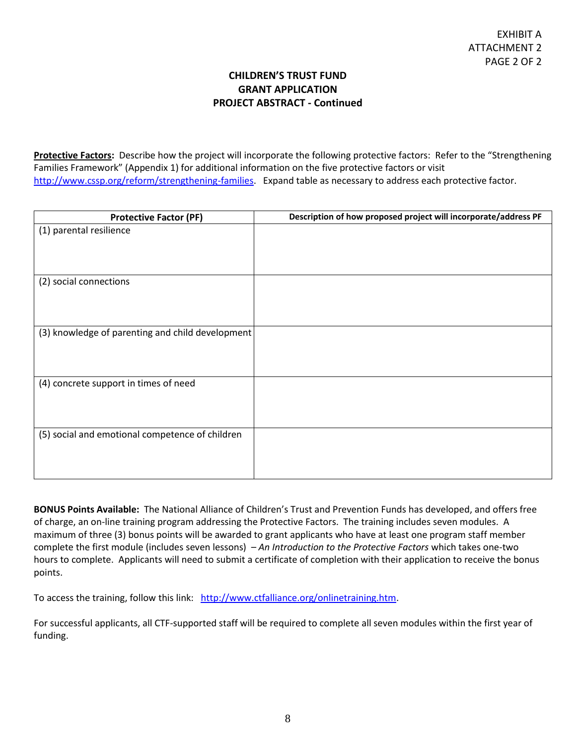#### **CHILDREN'S TRUST FUND GRANT APPLICATION PROJECT ABSTRACT - Continued**

**Protective Factors:** Describe how the project will incorporate the following protective factors: Refer to the "Strengthening Families Framework" (Appendix 1) for additional information on the five protective factors or visit [http://www.cssp.org/reform/strengthening-families.](http://www.cssp.org/reform/strengthening-families) Expand table as necessary to address each protective factor.

| <b>Protective Factor (PF)</b>                    | Description of how proposed project will incorporate/address PF |
|--------------------------------------------------|-----------------------------------------------------------------|
| (1) parental resilience                          |                                                                 |
| (2) social connections                           |                                                                 |
| (3) knowledge of parenting and child development |                                                                 |
| (4) concrete support in times of need            |                                                                 |
| (5) social and emotional competence of children  |                                                                 |

**BONUS Points Available:** The National Alliance of Children's Trust and Prevention Funds has developed, and offers free of charge, an on-line training program addressing the Protective Factors. The training includes seven modules. A maximum of three (3) bonus points will be awarded to grant applicants who have at least one program staff member complete the first module (includes seven lessons) – *An Introduction to the Protective Factors* which takes one-two hours to complete. Applicants will need to submit a certificate of completion with their application to receive the bonus points.

To access the training, follow this link: [http://www.ctfalliance.org/onlinetraining.htm.](http://www.ctfalliance.org/onlinetraining.htm)

For successful applicants, all CTF-supported staff will be required to complete all seven modules within the first year of funding.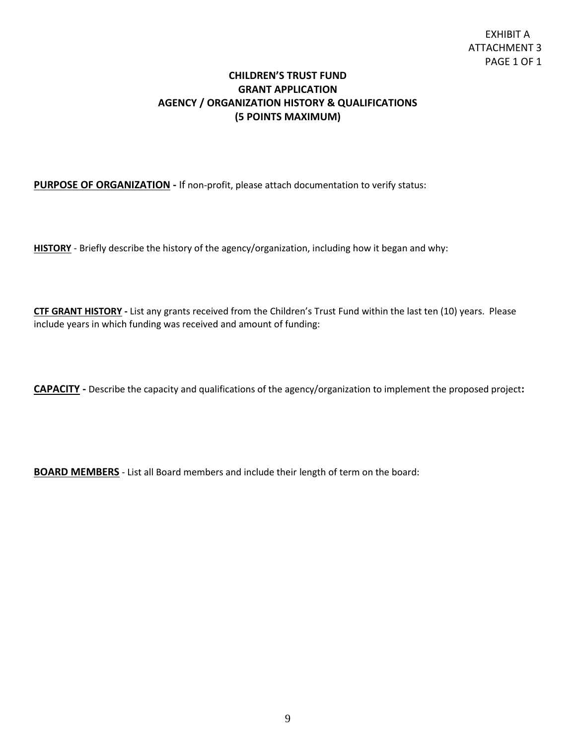#### **CHILDREN'S TRUST FUND GRANT APPLICATION AGENCY / ORGANIZATION HISTORY & QUALIFICATIONS (5 POINTS MAXIMUM)**

#### **PURPOSE OF ORGANIZATION** - If non-profit, please attach documentation to verify status:

**HISTORY** - Briefly describe the history of the agency/organization, including how it began and why:

**CTF GRANT HISTORY -** List any grants received from the Children's Trust Fund within the last ten (10) years. Please include years in which funding was received and amount of funding:

**CAPACITY -** Describe the capacity and qualifications of the agency/organization to implement the proposed project**:** 

**BOARD MEMBERS** - List all Board members and include their length of term on the board: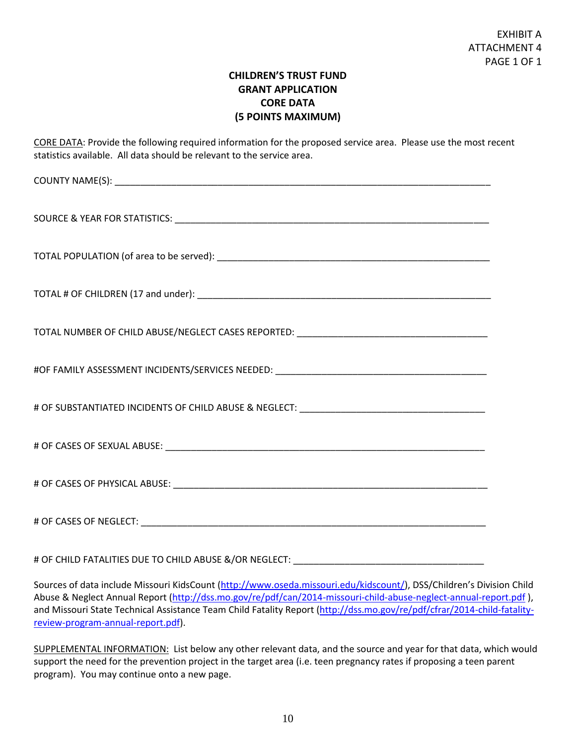#### **CHILDREN'S TRUST FUND GRANT APPLICATION CORE DATA (5 POINTS MAXIMUM)**

CORE DATA: Provide the following required information for the proposed service area. Please use the most recent statistics available. All data should be relevant to the service area.

COUNTY NAME(S): \_\_\_\_\_\_\_\_\_\_\_\_\_\_\_\_\_\_\_\_\_\_\_\_\_\_\_\_\_\_\_\_\_\_\_\_\_\_\_\_\_\_\_\_\_\_\_\_\_\_\_\_\_\_\_\_\_\_\_\_\_\_\_\_\_\_\_\_\_\_\_\_\_ SOURCE & YEAR FOR STATISTICS: \_\_\_\_\_\_\_\_\_\_\_\_\_\_\_\_\_\_\_\_\_\_\_\_\_\_\_\_\_\_\_\_\_\_\_\_\_\_\_\_\_\_\_\_\_\_\_\_\_\_\_\_\_\_\_\_\_\_\_\_\_ TOTAL POPULATION (of area to be served): \_\_\_\_\_\_\_\_\_\_\_\_\_\_\_\_\_\_\_\_\_\_\_\_\_\_\_\_\_\_\_\_\_\_\_\_\_\_\_\_\_\_\_\_\_\_\_\_\_\_\_\_\_ TOTAL # OF CHILDREN (17 and under): \_\_\_\_\_\_\_\_\_\_\_\_\_\_\_\_\_\_\_\_\_\_\_\_\_\_\_\_\_\_\_\_\_\_\_\_\_\_\_\_\_\_\_\_\_\_\_\_\_\_\_\_\_\_\_\_\_ TOTAL NUMBER OF CHILD ABUSE/NEGLECT CASES REPORTED: #OF FAMILY ASSESSMENT INCIDENTS/SERVICES NEEDED: \_\_\_\_\_\_\_\_\_\_\_\_\_\_\_\_\_\_\_\_\_\_\_\_\_\_\_\_\_\_\_\_\_\_\_\_\_\_\_\_\_ # OF SUBSTANTIATED INCIDENTS OF CHILD ABUSE & NEGLECT: \_\_\_\_\_\_\_\_\_\_\_\_\_\_\_\_\_\_\_\_\_\_\_\_\_\_\_\_\_\_\_\_\_\_\_\_ # OF CASES OF SEXUAL ABUSE:  $\blacksquare$ # OF CASES OF PHYSICAL ABUSE: \_\_\_\_\_\_\_\_\_\_\_\_\_\_\_\_\_\_\_\_\_\_\_\_\_\_\_\_\_\_\_\_\_\_\_\_\_\_\_\_\_\_\_\_\_\_\_\_\_\_\_\_\_\_\_\_\_\_\_\_\_ # OF CASES OF NEGLECT: \_\_\_\_\_\_\_\_\_\_\_\_\_\_\_\_\_\_\_\_\_\_\_\_\_\_\_\_\_\_\_\_\_\_\_\_\_\_\_\_\_\_\_\_\_\_\_\_\_\_\_\_\_\_\_\_\_\_\_\_\_\_\_\_\_\_\_

# OF CHILD FATALITIES DUE TO CHILD ABUSE &/OR NEGLECT: \_\_\_\_\_\_\_\_\_\_\_\_\_\_\_\_\_\_\_\_\_\_\_\_\_\_

Sources of data include Missouri KidsCount [\(http://www.oseda.missouri.edu/kidscount/](http://www.oseda.missouri.edu/kidscount/)), DSS/Children's Division Child Abuse & Neglect Annual Report [\(http://dss.mo.gov/re/pdf/can/2014-missouri-child-abuse-neglect-annual-report.pdf](http://dss.mo.gov/re/pdf/can/2014-missouri-child-abuse-neglect-annual-report.pdf)), and Missouri State Technical Assistance Team Child Fatality Report [\(http://dss.mo.gov/re/pdf/cfrar/2014-child-fatality](http://dss.mo.gov/re/pdf/cfrar/2014-child-fatality-review-program-annual-report.pdf)[review-program-annual-report.pdf\)](http://dss.mo.gov/re/pdf/cfrar/2014-child-fatality-review-program-annual-report.pdf).

SUPPLEMENTAL INFORMATION: List below any other relevant data, and the source and year for that data, which would support the need for the prevention project in the target area (i.e. teen pregnancy rates if proposing a teen parent program). You may continue onto a new page.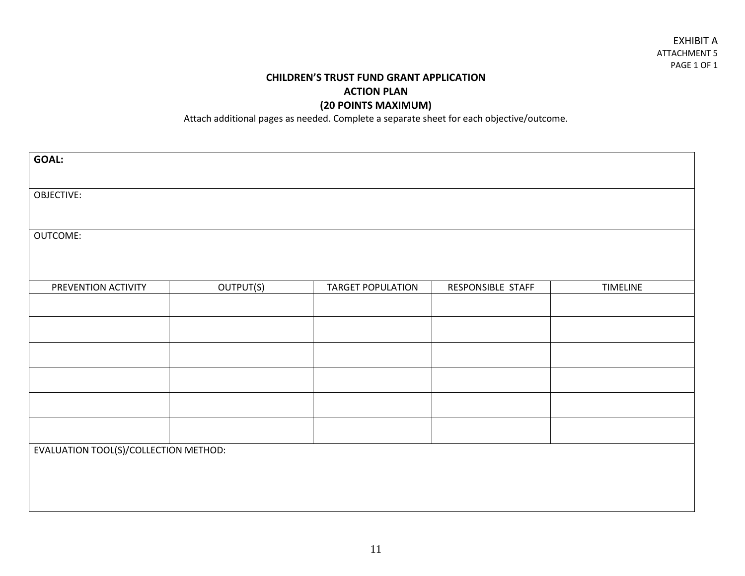#### **CHILDREN'S TRUST FUND GRANT APPLICATION ACTION PLAN (20 POINTS MAXIMUM)**

Attach additional pages as needed. Complete a separate sheet for each objective/outcome.

| <b>GOAL:</b>                          |           |                          |                   |                 |
|---------------------------------------|-----------|--------------------------|-------------------|-----------------|
| OBJECTIVE:                            |           |                          |                   |                 |
|                                       |           |                          |                   |                 |
| OUTCOME:                              |           |                          |                   |                 |
|                                       |           |                          |                   |                 |
| PREVENTION ACTIVITY                   | OUTPUT(S) | <b>TARGET POPULATION</b> | RESPONSIBLE STAFF | <b>TIMELINE</b> |
|                                       |           |                          |                   |                 |
|                                       |           |                          |                   |                 |
|                                       |           |                          |                   |                 |
|                                       |           |                          |                   |                 |
|                                       |           |                          |                   |                 |
|                                       |           |                          |                   |                 |
| EVALUATION TOOL(S)/COLLECTION METHOD: |           |                          |                   |                 |
|                                       |           |                          |                   |                 |
|                                       |           |                          |                   |                 |
|                                       |           |                          |                   |                 |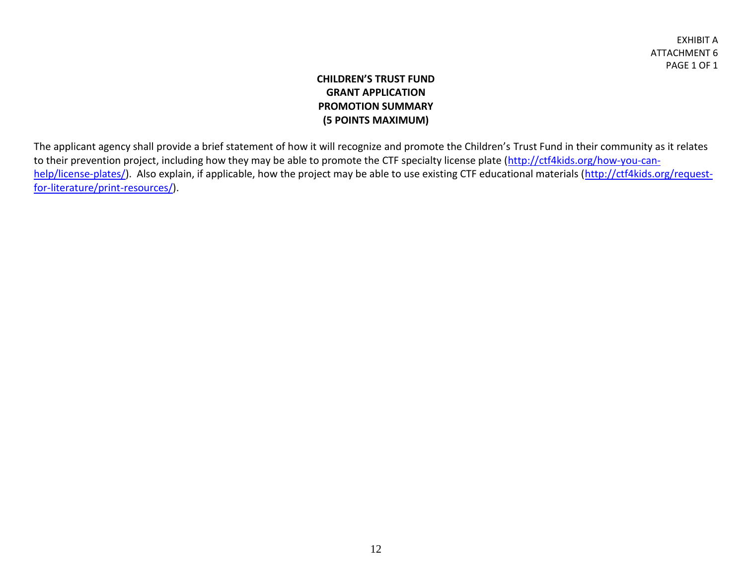#### **CHILDREN'S TRUST FUND GRANT APPLICATION PROMOTION SUMMARY (5 POINTS MAXIMUM)**

The applicant agency shall provide a brief statement of how it will recognize and promote the Children's Trust Fund in their community as it relates to their prevention project, including how they may be able to promote the CTF specialty license plate [\(http://ctf4kids.org/how-you-can](http://ctf4kids.org/how-you-can-help/license-plates/)[help/license-plates/\)](http://ctf4kids.org/how-you-can-help/license-plates/). Also explain, if applicable, how the project may be able to use existing CTF educational materials [\(http://ctf4kids.org/request](http://ctf4kids.org/request-for-literature/print-resources/)[for-literature/print-resources/\)](http://ctf4kids.org/request-for-literature/print-resources/).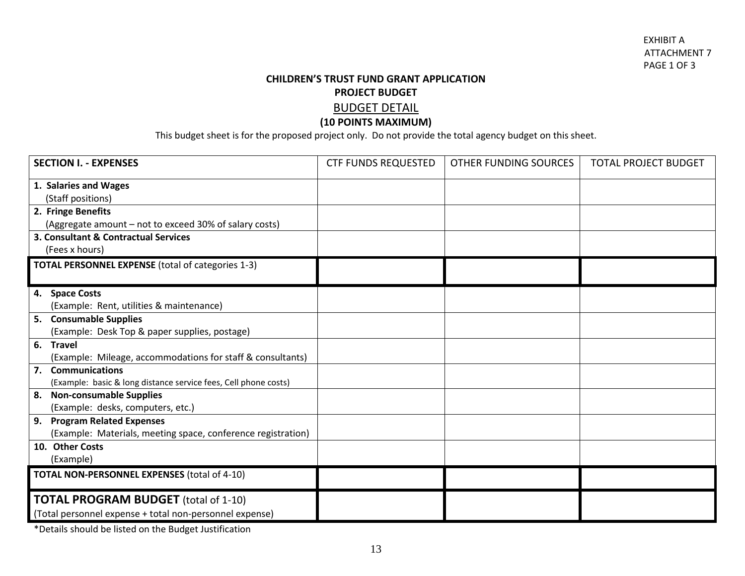#### **CHILDREN'S TRUST FUND GRANT APPLICATION PROJECT BUDGET** BUDGET DETAIL

#### **(10 POINTS MAXIMUM)**

This budget sheet is for the proposed project only. Do not provide the total agency budget on this sheet.

| <b>SECTION I. - EXPENSES</b>                                    | <b>CTF FUNDS REQUESTED</b> | OTHER FUNDING SOURCES | <b>TOTAL PROJECT BUDGET</b> |
|-----------------------------------------------------------------|----------------------------|-----------------------|-----------------------------|
| 1. Salaries and Wages                                           |                            |                       |                             |
| (Staff positions)                                               |                            |                       |                             |
| 2. Fringe Benefits                                              |                            |                       |                             |
| (Aggregate amount - not to exceed 30% of salary costs)          |                            |                       |                             |
| 3. Consultant & Contractual Services                            |                            |                       |                             |
| (Fees x hours)                                                  |                            |                       |                             |
| <b>TOTAL PERSONNEL EXPENSE</b> (total of categories 1-3)        |                            |                       |                             |
|                                                                 |                            |                       |                             |
| 4. Space Costs                                                  |                            |                       |                             |
| (Example: Rent, utilities & maintenance)                        |                            |                       |                             |
| 5. Consumable Supplies                                          |                            |                       |                             |
| (Example: Desk Top & paper supplies, postage)                   |                            |                       |                             |
| 6. Travel                                                       |                            |                       |                             |
| (Example: Mileage, accommodations for staff & consultants)      |                            |                       |                             |
| 7. Communications                                               |                            |                       |                             |
| (Example: basic & long distance service fees, Cell phone costs) |                            |                       |                             |
| <b>Non-consumable Supplies</b><br>8.                            |                            |                       |                             |
| (Example: desks, computers, etc.)                               |                            |                       |                             |
| <b>Program Related Expenses</b><br>9.                           |                            |                       |                             |
| (Example: Materials, meeting space, conference registration)    |                            |                       |                             |
| 10. Other Costs                                                 |                            |                       |                             |
| (Example)                                                       |                            |                       |                             |
| <b>TOTAL NON-PERSONNEL EXPENSES (total of 4-10)</b>             |                            |                       |                             |
| <b>TOTAL PROGRAM BUDGET</b> (total of 1-10)                     |                            |                       |                             |
| (Total personnel expense + total non-personnel expense)         |                            |                       |                             |

\*Details should be listed on the Budget Justification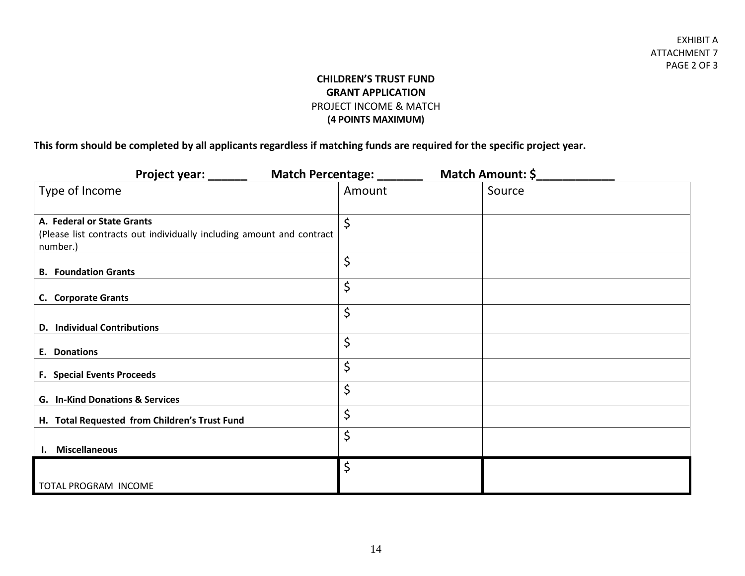#### **CHILDREN'S TRUST FUND GRANT APPLICATION** PROJECT INCOME & MATCH **(4 POINTS MAXIMUM)**

**This form should be completed by all applicants regardless if matching funds are required for the specific project year.** 

| Project year: _______                                                                                           | Match Percentage: _______ |  | Match Amount: \$ |  |
|-----------------------------------------------------------------------------------------------------------------|---------------------------|--|------------------|--|
| Type of Income                                                                                                  | Amount                    |  | Source           |  |
| A. Federal or State Grants<br>(Please list contracts out individually including amount and contract<br>number.) | \$                        |  |                  |  |
| <b>B.</b> Foundation Grants                                                                                     | \$                        |  |                  |  |
| C. Corporate Grants                                                                                             | \$                        |  |                  |  |
| <b>D.</b> Individual Contributions                                                                              | \$                        |  |                  |  |
| E. Donations                                                                                                    | \$                        |  |                  |  |
| <b>F. Special Events Proceeds</b>                                                                               | \$                        |  |                  |  |
| G. In-Kind Donations & Services                                                                                 | \$                        |  |                  |  |
| H. Total Requested from Children's Trust Fund                                                                   | \$                        |  |                  |  |
| <b>Miscellaneous</b>                                                                                            | \$                        |  |                  |  |
|                                                                                                                 | \$                        |  |                  |  |
| TOTAL PROGRAM INCOME                                                                                            |                           |  |                  |  |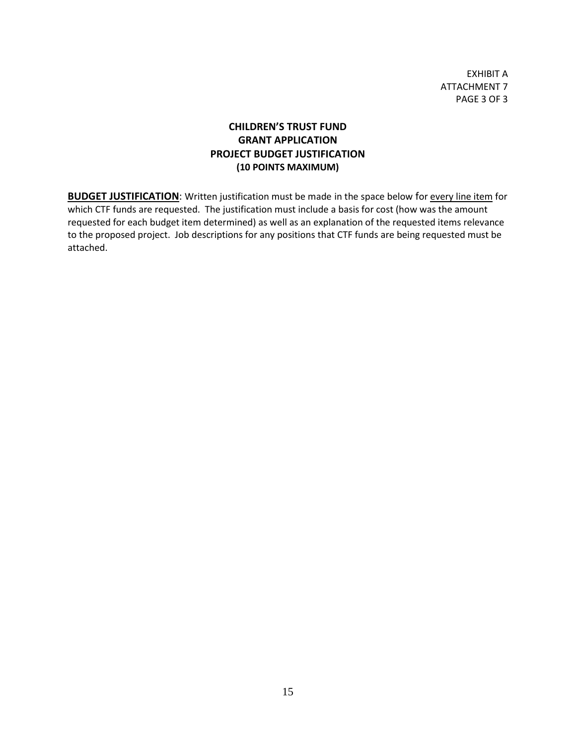EXHIBIT A ATTACHMENT 7 PAGE 3 OF 3

#### **CHILDREN'S TRUST FUND GRANT APPLICATION PROJECT BUDGET JUSTIFICATION (10 POINTS MAXIMUM)**

**BUDGET JUSTIFICATION:** Written justification must be made in the space below for every line item for which CTF funds are requested. The justification must include a basis for cost (how was the amount requested for each budget item determined) as well as an explanation of the requested items relevance to the proposed project. Job descriptions for any positions that CTF funds are being requested must be attached.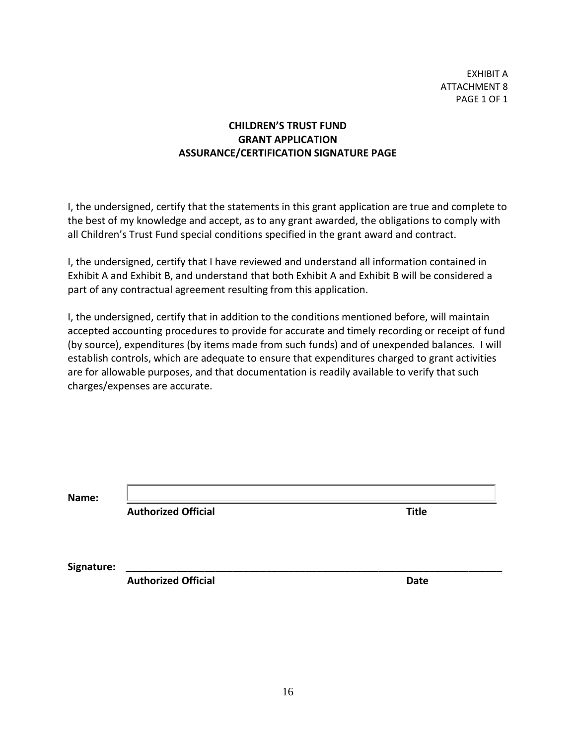EXHIBIT A ATTACHMENT 8 PAGE 1 OF 1

#### **CHILDREN'S TRUST FUND GRANT APPLICATION ASSURANCE/CERTIFICATION SIGNATURE PAGE**

I, the undersigned, certify that the statements in this grant application are true and complete to the best of my knowledge and accept, as to any grant awarded, the obligations to comply with all Children's Trust Fund special conditions specified in the grant award and contract.

I, the undersigned, certify that I have reviewed and understand all information contained in Exhibit A and Exhibit B, and understand that both Exhibit A and Exhibit B will be considered a part of any contractual agreement resulting from this application.

I, the undersigned, certify that in addition to the conditions mentioned before, will maintain accepted accounting procedures to provide for accurate and timely recording or receipt of fund (by source), expenditures (by items made from such funds) and of unexpended balances. I will establish controls, which are adequate to ensure that expenditures charged to grant activities are for allowable purposes, and that documentation is readily available to verify that such charges/expenses are accurate.

**Name:** 

 **Authorized Official Title**

Signature:

**Authorized Official Authorized Official Authorized Official Authorized Date**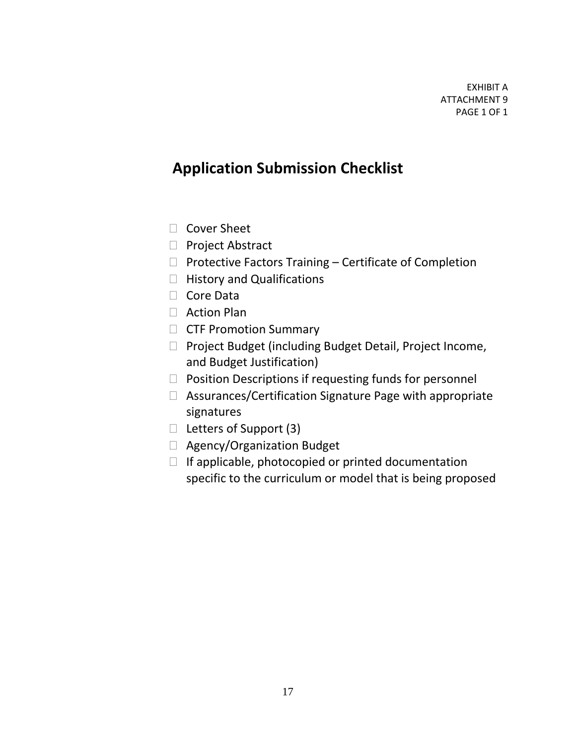## **Application Submission Checklist**

- □ Cover Sheet
- □ Project Abstract
- $\Box$  Protective Factors Training Certificate of Completion
- $\Box$  History and Qualifications
- □ Core Data
- □ Action Plan
- **CTF Promotion Summary**
- $\Box$  Project Budget (including Budget Detail, Project Income, and Budget Justification)
- $\Box$  Position Descriptions if requesting funds for personnel
- $\Box$  Assurances/Certification Signature Page with appropriate signatures
- $\Box$  Letters of Support (3)
- □ Agency/Organization Budget
- $\Box$  If applicable, photocopied or printed documentation specific to the curriculum or model that is being proposed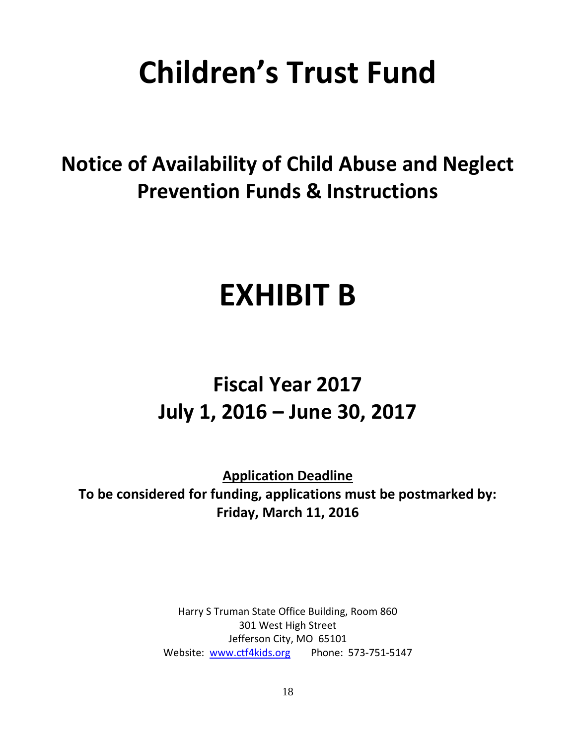# **Children's Trust Fund**

## **Notice of Availability of Child Abuse and Neglect Prevention Funds & Instructions**

## **EXHIBIT B**

## **Fiscal Year 2017 July 1, 2016 – June 30, 2017**

**Application Deadline To be considered for funding, applications must be postmarked by: Friday, March 11, 2016**

> Harry S Truman State Office Building, Room 860 301 West High Street Jefferson City, MO 65101 Website: [www.ctf4kids.org](http://www.ctf4kids.org/)  Phone: 573-751-5147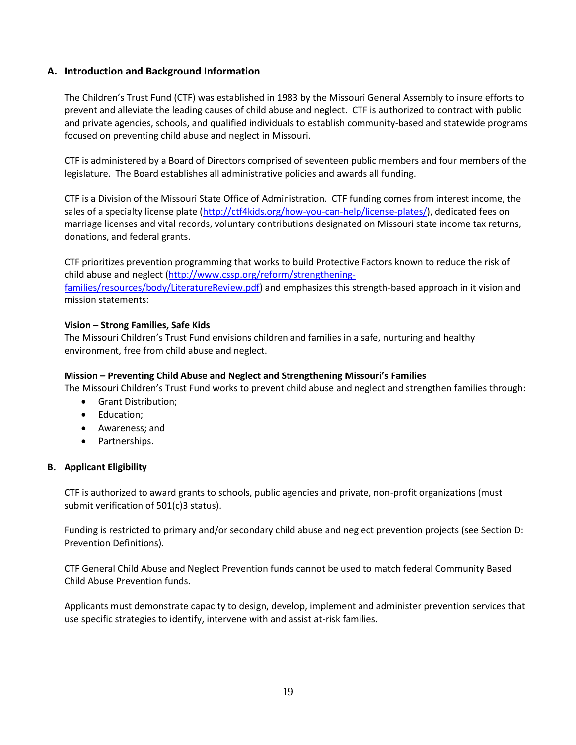#### **A. Introduction and Background Information**

The Children's Trust Fund (CTF) was established in 1983 by the Missouri General Assembly to insure efforts to prevent and alleviate the leading causes of child abuse and neglect. CTF is authorized to contract with public and private agencies, schools, and qualified individuals to establish community-based and statewide programs focused on preventing child abuse and neglect in Missouri.

CTF is administered by a Board of Directors comprised of seventeen public members and four members of the legislature. The Board establishes all administrative policies and awards all funding.

CTF is a Division of the Missouri State Office of Administration. CTF funding comes from interest income, the sales of a specialty license plate [\(http://ctf4kids.org/how-you-can-help/license-plates/\)](http://ctf4kids.org/how-you-can-help/license-plates/), dedicated fees on marriage licenses and vital records, voluntary contributions designated on Missouri state income tax returns, donations, and federal grants.

CTF prioritizes prevention programming that works to build Protective Factors known to reduce the risk of child abuse and neglect [\(http://www.cssp.org/reform/strengthening](http://www.cssp.org/reform/strengthening-families/resources/body/LiteratureReview.pdf)[families/resources/body/LiteratureReview.pdf\)](http://www.cssp.org/reform/strengthening-families/resources/body/LiteratureReview.pdf) and emphasizes this strength-based approach in it vision and mission statements:

#### **Vision – Strong Families, Safe Kids**

The Missouri Children's Trust Fund envisions children and families in a safe, nurturing and healthy environment, free from child abuse and neglect.

#### **Mission – Preventing Child Abuse and Neglect and Strengthening Missouri's Families**

The Missouri Children's Trust Fund works to prevent child abuse and neglect and strengthen families through:

- Grant Distribution;
- Education;
- Awareness; and
- Partnerships.

#### **B. Applicant Eligibility**

CTF is authorized to award grants to schools, public agencies and private, non-profit organizations (must submit verification of 501(c)3 status).

Funding is restricted to primary and/or secondary child abuse and neglect prevention projects (see Section D: Prevention Definitions).

CTF General Child Abuse and Neglect Prevention funds cannot be used to match federal Community Based Child Abuse Prevention funds.

Applicants must demonstrate capacity to design, develop, implement and administer prevention services that use specific strategies to identify, intervene with and assist at-risk families.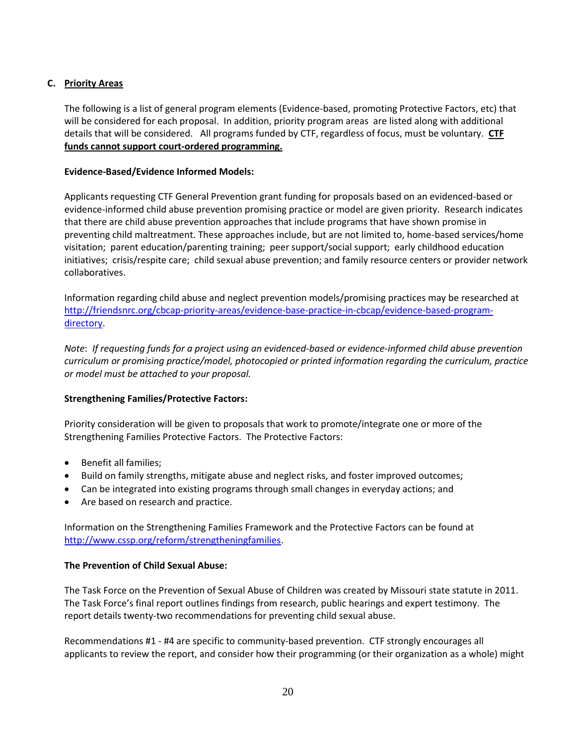#### **C. Priority Areas**

The following is a list of general program elements (Evidence-based, promoting Protective Factors, etc) that will be considered for each proposal. In addition, priority program areas are listed along with additional details that will be considered. All programs funded by CTF, regardless of focus, must be voluntary. **CTF funds cannot support court-ordered programming.**

#### **Evidence-Based/Evidence Informed Models:**

Applicants requesting CTF General Prevention grant funding for proposals based on an evidenced-based or evidence-informed child abuse prevention promising practice or model are given priority. Research indicates that there are child abuse prevention approaches that include programs that have shown promise in preventing child maltreatment. These approaches include, but are not limited to, home-based services/home visitation; parent education/parenting training; peer support/social support; early childhood education initiatives; crisis/respite care; child sexual abuse prevention; and family resource centers or provider network collaboratives.

Information regarding child abuse and neglect prevention models/promising practices may be researched at [http://friendsnrc.org/cbcap-priority-areas/evidence-base-practice-in-cbcap/evidence-based-program](http://friendsnrc.org/cbcap-priority-areas/evidence-base-practice-in-cbcap/evidence-based-program-directory)[directory.](http://friendsnrc.org/cbcap-priority-areas/evidence-base-practice-in-cbcap/evidence-based-program-directory)

*Note*: *If requesting funds for a project using an evidenced-based or evidence-informed child abuse prevention curriculum or promising practice/model, photocopied or printed information regarding the curriculum, practice or model must be attached to your proposal.*

#### **Strengthening Families/Protective Factors:**

Priority consideration will be given to proposals that work to promote/integrate one or more of the Strengthening Families Protective Factors. The Protective Factors:

- Benefit all families;
- Build on family strengths, mitigate abuse and neglect risks, and foster improved outcomes;
- Can be integrated into existing programs through small changes in everyday actions; and
- Are based on research and practice.

Information on the Strengthening Families Framework and the Protective Factors can be found at [http://www.cssp.org/reform/strengtheningfamilies.](http://www.cssp.org/reform/strengtheningfamilies)

#### **The Prevention of Child Sexual Abuse:**

The Task Force on the Prevention of Sexual Abuse of Children was created by Missouri state statute in 2011. The Task Force's final report outlines findings from research, public hearings and expert testimony. The report details twenty-two recommendations for preventing child sexual abuse.

Recommendations #1 - #4 are specific to community-based prevention. CTF strongly encourages all applicants to review the report, and consider how their programming (or their organization as a whole) might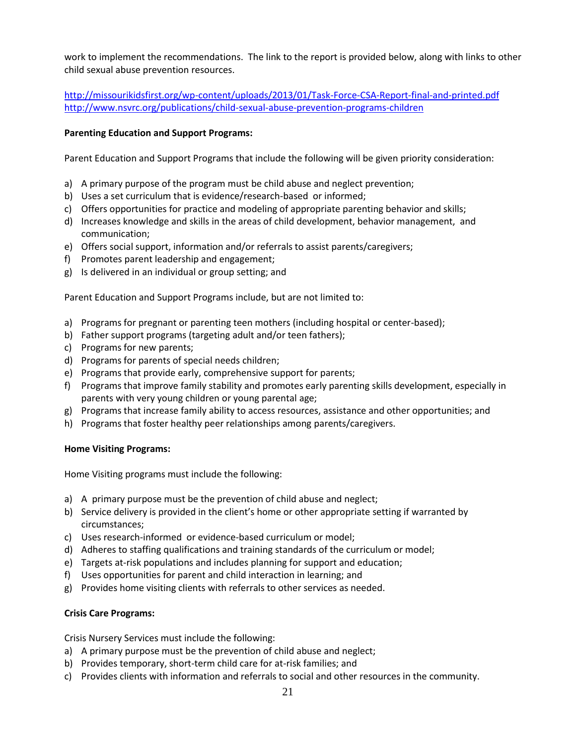work to implement the recommendations. The link to the report is provided below, along with links to other child sexual abuse prevention resources.

<http://missourikidsfirst.org/wp-content/uploads/2013/01/Task-Force-CSA-Report-final-and-printed.pdf> <http://www.nsvrc.org/publications/child-sexual-abuse-prevention-programs-children>

#### **Parenting Education and Support Programs:**

Parent Education and Support Programs that include the following will be given priority consideration:

- a) A primary purpose of the program must be child abuse and neglect prevention;
- b) Uses a set curriculum that is evidence/research-based or informed;
- c) Offers opportunities for practice and modeling of appropriate parenting behavior and skills;
- d) Increases knowledge and skills in the areas of child development, behavior management, and communication;
- e) Offers social support, information and/or referrals to assist parents/caregivers;
- f) Promotes parent leadership and engagement;
- g) Is delivered in an individual or group setting; and

Parent Education and Support Programs include, but are not limited to:

- a) Programs for pregnant or parenting teen mothers (including hospital or center-based);
- b) Father support programs (targeting adult and/or teen fathers);
- c) Programs for new parents;
- d) Programs for parents of special needs children;
- e) Programs that provide early, comprehensive support for parents;
- f) Programs that improve family stability and promotes early parenting skills development, especially in parents with very young children or young parental age;
- g) Programs that increase family ability to access resources, assistance and other opportunities; and
- h) Programs that foster healthy peer relationships among parents/caregivers.

#### **Home Visiting Programs:**

Home Visiting programs must include the following:

- a) A primary purpose must be the prevention of child abuse and neglect;
- b) Service delivery is provided in the client's home or other appropriate setting if warranted by circumstances;
- c) Uses research-informed or evidence-based curriculum or model;
- d) Adheres to staffing qualifications and training standards of the curriculum or model;
- e) Targets at-risk populations and includes planning for support and education;
- f) Uses opportunities for parent and child interaction in learning; and
- g) Provides home visiting clients with referrals to other services as needed.

#### **Crisis Care Programs:**

Crisis Nursery Services must include the following:

- a) A primary purpose must be the prevention of child abuse and neglect;
- b) Provides temporary, short-term child care for at-risk families; and
- c) Provides clients with information and referrals to social and other resources in the community.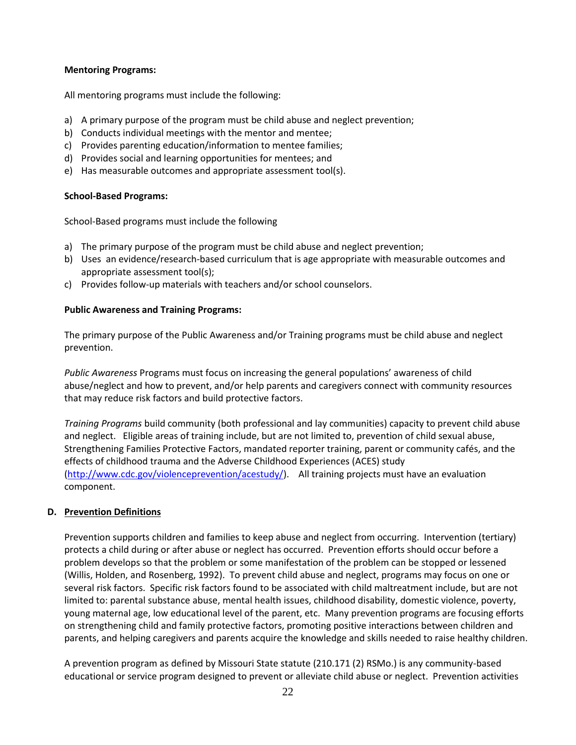#### **Mentoring Programs:**

All mentoring programs must include the following:

- a) A primary purpose of the program must be child abuse and neglect prevention;
- b) Conducts individual meetings with the mentor and mentee;
- c) Provides parenting education/information to mentee families;
- d) Provides social and learning opportunities for mentees; and
- e) Has measurable outcomes and appropriate assessment tool(s).

#### **School-Based Programs:**

School-Based programs must include the following

- a) The primary purpose of the program must be child abuse and neglect prevention;
- b) Uses an evidence/research-based curriculum that is age appropriate with measurable outcomes and appropriate assessment tool(s);
- c) Provides follow-up materials with teachers and/or school counselors.

#### **Public Awareness and Training Programs:**

The primary purpose of the Public Awareness and/or Training programs must be child abuse and neglect prevention.

*Public Awareness* Programs must focus on increasing the general populations' awareness of child abuse/neglect and how to prevent, and/or help parents and caregivers connect with community resources that may reduce risk factors and build protective factors.

*Training Programs* build community (both professional and lay communities) capacity to prevent child abuse and neglect. Eligible areas of training include, but are not limited to, prevention of child sexual abuse, Strengthening Families Protective Factors, mandated reporter training, parent or community cafés, and the effects of childhood trauma and the Adverse Childhood Experiences (ACES) study [\(http://www.cdc.gov/violenceprevention/acestudy/\)](http://www.cdc.gov/violenceprevention/acestudy/). All training projects must have an evaluation component.

#### **D. Prevention Definitions**

Prevention supports children and families to keep abuse and neglect from occurring. Intervention (tertiary) protects a child during or after abuse or neglect has occurred. Prevention efforts should occur before a problem develops so that the problem or some manifestation of the problem can be stopped or lessened (Willis, Holden, and Rosenberg, 1992). To prevent child abuse and neglect, programs may focus on one or several risk factors. Specific risk factors found to be associated with child maltreatment include, but are not limited to: parental substance abuse, mental health issues, childhood disability, domestic violence, poverty, young maternal age, low educational level of the parent, etc. Many prevention programs are focusing efforts on strengthening child and family protective factors, promoting positive interactions between children and parents, and helping caregivers and parents acquire the knowledge and skills needed to raise healthy children.

A prevention program as defined by Missouri State statute (210.171 (2) RSMo.) is any community-based educational or service program designed to prevent or alleviate child abuse or neglect. Prevention activities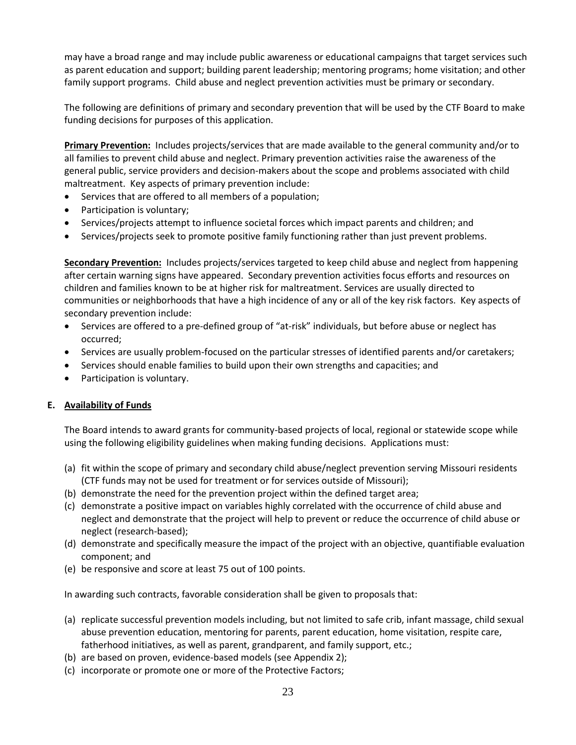may have a broad range and may include public awareness or educational campaigns that target services such as parent education and support; building parent leadership; mentoring programs; home visitation; and other family support programs. Child abuse and neglect prevention activities must be primary or secondary.

The following are definitions of primary and secondary prevention that will be used by the CTF Board to make funding decisions for purposes of this application.

**Primary Prevention:** Includes projects/services that are made available to the general community and/or to all families to prevent child abuse and neglect. Primary prevention activities raise the awareness of the general public, service providers and decision-makers about the scope and problems associated with child maltreatment. Key aspects of primary prevention include:

- Services that are offered to all members of a population;
- Participation is voluntary;
- Services/projects attempt to influence societal forces which impact parents and children; and
- Services/projects seek to promote positive family functioning rather than just prevent problems.

**Secondary Prevention:** Includes projects/services targeted to keep child abuse and neglect from happening after certain warning signs have appeared. Secondary prevention activities focus efforts and resources on children and families known to be at higher risk for maltreatment. Services are usually directed to communities or neighborhoods that have a high incidence of any or all of the key risk factors. Key aspects of secondary prevention include:

- Services are offered to a pre-defined group of "at-risk" individuals, but before abuse or neglect has occurred;
- Services are usually problem-focused on the particular stresses of identified parents and/or caretakers;
- Services should enable families to build upon their own strengths and capacities; and
- Participation is voluntary.

#### **E. Availability of Funds**

The Board intends to award grants for community-based projects of local, regional or statewide scope while using the following eligibility guidelines when making funding decisions. Applications must:

- (a) fit within the scope of primary and secondary child abuse/neglect prevention serving Missouri residents (CTF funds may not be used for treatment or for services outside of Missouri);
- (b) demonstrate the need for the prevention project within the defined target area;
- (c) demonstrate a positive impact on variables highly correlated with the occurrence of child abuse and neglect and demonstrate that the project will help to prevent or reduce the occurrence of child abuse or neglect (research-based);
- (d) demonstrate and specifically measure the impact of the project with an objective, quantifiable evaluation component; and
- (e) be responsive and score at least 75 out of 100 points.

In awarding such contracts, favorable consideration shall be given to proposals that:

- (a) replicate successful prevention models including, but not limited to safe crib, infant massage, child sexual abuse prevention education, mentoring for parents, parent education, home visitation, respite care, fatherhood initiatives, as well as parent, grandparent, and family support, etc.;
- (b) are based on proven, evidence-based models (see Appendix 2);
- (c) incorporate or promote one or more of the Protective Factors;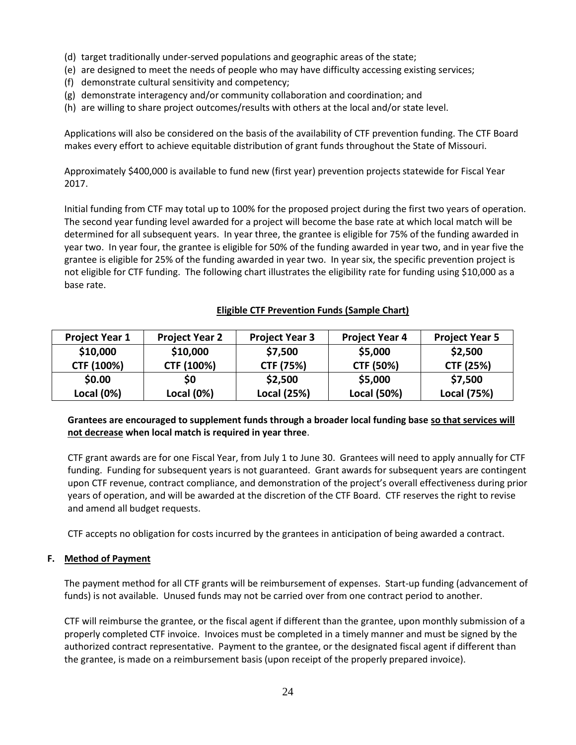- (d) target traditionally under-served populations and geographic areas of the state;
- (e) are designed to meet the needs of people who may have difficulty accessing existing services;
- (f) demonstrate cultural sensitivity and competency;
- (g) demonstrate interagency and/or community collaboration and coordination; and
- (h) are willing to share project outcomes/results with others at the local and/or state level.

Applications will also be considered on the basis of the availability of CTF prevention funding. The CTF Board makes every effort to achieve equitable distribution of grant funds throughout the State of Missouri.

Approximately \$400,000 is available to fund new (first year) prevention projects statewide for Fiscal Year 2017.

Initial funding from CTF may total up to 100% for the proposed project during the first two years of operation. The second year funding level awarded for a project will become the base rate at which local match will be determined for all subsequent years. In year three, the grantee is eligible for 75% of the funding awarded in year two. In year four, the grantee is eligible for 50% of the funding awarded in year two, and in year five the grantee is eligible for 25% of the funding awarded in year two. In year six, the specific prevention project is not eligible for CTF funding. The following chart illustrates the eligibility rate for funding using \$10,000 as a base rate.

#### **Eligible CTF Prevention Funds (Sample Chart)**

| <b>Project Year 1</b> | <b>Project Year 2</b> | <b>Project Year 3</b> | <b>Project Year 4</b> | <b>Project Year 5</b> |
|-----------------------|-----------------------|-----------------------|-----------------------|-----------------------|
| \$10,000              | \$10,000              | \$7,500               | \$5,000               | \$2,500               |
| CTF (100%)            | CTF (100%)            | CTF (75%)             | CTF (50%)             | CTF (25%)             |
| \$0.00                | \$0                   | \$2,500               | \$5,000               | \$7,500               |
| Local $(0%)$          | Local $(0%)$          | Local (25%)           | Local (50%)           | Local (75%)           |

#### **Grantees are encouraged to supplement funds through a broader local funding base so that services will not decrease when local match is required in year three**.

CTF grant awards are for one Fiscal Year, from July 1 to June 30. Grantees will need to apply annually for CTF funding. Funding for subsequent years is not guaranteed. Grant awards for subsequent years are contingent upon CTF revenue, contract compliance, and demonstration of the project's overall effectiveness during prior years of operation, and will be awarded at the discretion of the CTF Board. CTF reserves the right to revise and amend all budget requests.

CTF accepts no obligation for costs incurred by the grantees in anticipation of being awarded a contract.

#### **F. Method of Payment**

The payment method for all CTF grants will be reimbursement of expenses. Start-up funding (advancement of funds) is not available. Unused funds may not be carried over from one contract period to another.

CTF will reimburse the grantee, or the fiscal agent if different than the grantee, upon monthly submission of a properly completed CTF invoice. Invoices must be completed in a timely manner and must be signed by the authorized contract representative. Payment to the grantee, or the designated fiscal agent if different than the grantee, is made on a reimbursement basis (upon receipt of the properly prepared invoice).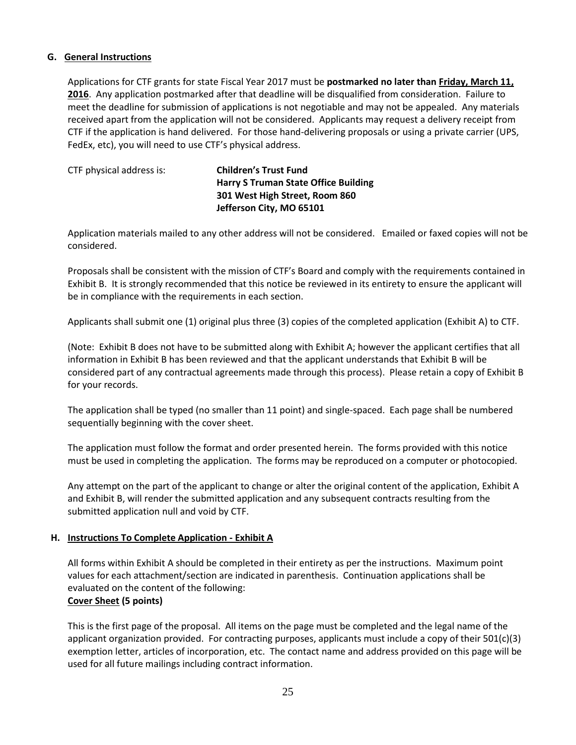#### **G. General Instructions**

Applications for CTF grants for state Fiscal Year 2017 must be **postmarked no later than Friday, March 11, 2016**. Any application postmarked after that deadline will be disqualified from consideration. Failure to meet the deadline for submission of applications is not negotiable and may not be appealed. Any materials received apart from the application will not be considered. Applicants may request a delivery receipt from CTF if the application is hand delivered. For those hand-delivering proposals or using a private carrier (UPS, FedEx, etc), you will need to use CTF's physical address.

| CTF physical address is: | <b>Children's Trust Fund</b>                |
|--------------------------|---------------------------------------------|
|                          | <b>Harry S Truman State Office Building</b> |
|                          | 301 West High Street, Room 860              |
|                          | Jefferson City, MO 65101                    |
|                          |                                             |

Application materials mailed to any other address will not be considered. Emailed or faxed copies will not be considered.

Proposals shall be consistent with the mission of CTF's Board and comply with the requirements contained in Exhibit B. It is strongly recommended that this notice be reviewed in its entirety to ensure the applicant will be in compliance with the requirements in each section.

Applicants shall submit one (1) original plus three (3) copies of the completed application (Exhibit A) to CTF.

(Note: Exhibit B does not have to be submitted along with Exhibit A; however the applicant certifies that all information in Exhibit B has been reviewed and that the applicant understands that Exhibit B will be considered part of any contractual agreements made through this process). Please retain a copy of Exhibit B for your records.

The application shall be typed (no smaller than 11 point) and single-spaced. Each page shall be numbered sequentially beginning with the cover sheet.

The application must follow the format and order presented herein. The forms provided with this notice must be used in completing the application. The forms may be reproduced on a computer or photocopied.

Any attempt on the part of the applicant to change or alter the original content of the application, Exhibit A and Exhibit B, will render the submitted application and any subsequent contracts resulting from the submitted application null and void by CTF.

#### **H. Instructions To Complete Application - Exhibit A**

All forms within Exhibit A should be completed in their entirety as per the instructions. Maximum point values for each attachment/section are indicated in parenthesis. Continuation applications shall be evaluated on the content of the following: **Cover Sheet (5 points)** 

This is the first page of the proposal. All items on the page must be completed and the legal name of the applicant organization provided. For contracting purposes, applicants must include a copy of their 501(c)(3) exemption letter, articles of incorporation, etc. The contact name and address provided on this page will be used for all future mailings including contract information.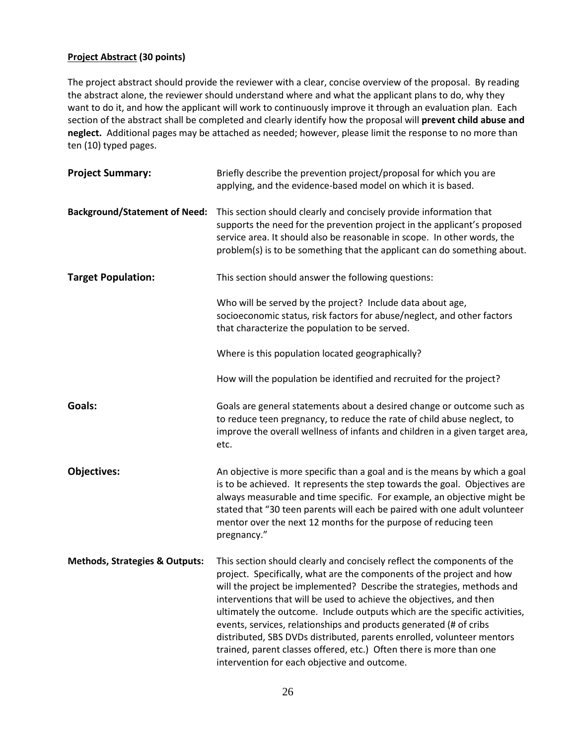#### **Project Abstract (30 points)**

The project abstract should provide the reviewer with a clear, concise overview of the proposal. By reading the abstract alone, the reviewer should understand where and what the applicant plans to do, why they want to do it, and how the applicant will work to continuously improve it through an evaluation plan. Each section of the abstract shall be completed and clearly identify how the proposal will **prevent child abuse and neglect.** Additional pages may be attached as needed; however, please limit the response to no more than ten (10) typed pages.

| <b>Project Summary:</b>                   | Briefly describe the prevention project/proposal for which you are<br>applying, and the evidence-based model on which it is based.                                                                                                                                                                                                                                                                                                                                                                                                                                                                                                                    |
|-------------------------------------------|-------------------------------------------------------------------------------------------------------------------------------------------------------------------------------------------------------------------------------------------------------------------------------------------------------------------------------------------------------------------------------------------------------------------------------------------------------------------------------------------------------------------------------------------------------------------------------------------------------------------------------------------------------|
| <b>Background/Statement of Need:</b>      | This section should clearly and concisely provide information that<br>supports the need for the prevention project in the applicant's proposed<br>service area. It should also be reasonable in scope. In other words, the<br>problem(s) is to be something that the applicant can do something about.                                                                                                                                                                                                                                                                                                                                                |
| <b>Target Population:</b>                 | This section should answer the following questions:                                                                                                                                                                                                                                                                                                                                                                                                                                                                                                                                                                                                   |
|                                           | Who will be served by the project? Include data about age,<br>socioeconomic status, risk factors for abuse/neglect, and other factors<br>that characterize the population to be served.                                                                                                                                                                                                                                                                                                                                                                                                                                                               |
|                                           | Where is this population located geographically?                                                                                                                                                                                                                                                                                                                                                                                                                                                                                                                                                                                                      |
|                                           | How will the population be identified and recruited for the project?                                                                                                                                                                                                                                                                                                                                                                                                                                                                                                                                                                                  |
| Goals:                                    | Goals are general statements about a desired change or outcome such as<br>to reduce teen pregnancy, to reduce the rate of child abuse neglect, to<br>improve the overall wellness of infants and children in a given target area,<br>etc.                                                                                                                                                                                                                                                                                                                                                                                                             |
| <b>Objectives:</b>                        | An objective is more specific than a goal and is the means by which a goal<br>is to be achieved. It represents the step towards the goal. Objectives are<br>always measurable and time specific. For example, an objective might be<br>stated that "30 teen parents will each be paired with one adult volunteer<br>mentor over the next 12 months for the purpose of reducing teen<br>pregnancy."                                                                                                                                                                                                                                                    |
| <b>Methods, Strategies &amp; Outputs:</b> | This section should clearly and concisely reflect the components of the<br>project. Specifically, what are the components of the project and how<br>will the project be implemented? Describe the strategies, methods and<br>interventions that will be used to achieve the objectives, and then<br>ultimately the outcome. Include outputs which are the specific activities,<br>events, services, relationships and products generated (# of cribs<br>distributed, SBS DVDs distributed, parents enrolled, volunteer mentors<br>trained, parent classes offered, etc.) Often there is more than one<br>intervention for each objective and outcome. |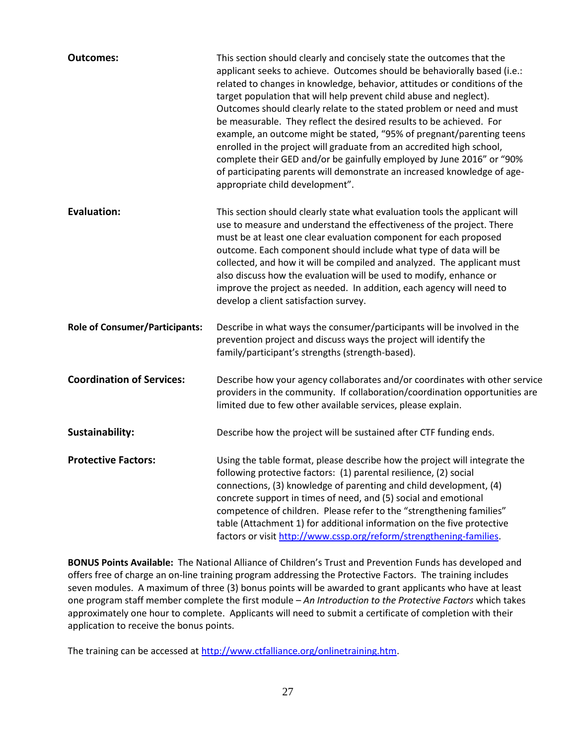| <b>Outcomes:</b>                      | This section should clearly and concisely state the outcomes that the<br>applicant seeks to achieve. Outcomes should be behaviorally based (i.e.:<br>related to changes in knowledge, behavior, attitudes or conditions of the<br>target population that will help prevent child abuse and neglect).<br>Outcomes should clearly relate to the stated problem or need and must<br>be measurable. They reflect the desired results to be achieved. For<br>example, an outcome might be stated, "95% of pregnant/parenting teens<br>enrolled in the project will graduate from an accredited high school,<br>complete their GED and/or be gainfully employed by June 2016" or "90%<br>of participating parents will demonstrate an increased knowledge of age-<br>appropriate child development". |
|---------------------------------------|------------------------------------------------------------------------------------------------------------------------------------------------------------------------------------------------------------------------------------------------------------------------------------------------------------------------------------------------------------------------------------------------------------------------------------------------------------------------------------------------------------------------------------------------------------------------------------------------------------------------------------------------------------------------------------------------------------------------------------------------------------------------------------------------|
| <b>Evaluation:</b>                    | This section should clearly state what evaluation tools the applicant will<br>use to measure and understand the effectiveness of the project. There<br>must be at least one clear evaluation component for each proposed<br>outcome. Each component should include what type of data will be<br>collected, and how it will be compiled and analyzed. The applicant must<br>also discuss how the evaluation will be used to modify, enhance or<br>improve the project as needed. In addition, each agency will need to<br>develop a client satisfaction survey.                                                                                                                                                                                                                                 |
| <b>Role of Consumer/Participants:</b> | Describe in what ways the consumer/participants will be involved in the<br>prevention project and discuss ways the project will identify the<br>family/participant's strengths (strength-based).                                                                                                                                                                                                                                                                                                                                                                                                                                                                                                                                                                                               |
| <b>Coordination of Services:</b>      | Describe how your agency collaborates and/or coordinates with other service<br>providers in the community. If collaboration/coordination opportunities are<br>limited due to few other available services, please explain.                                                                                                                                                                                                                                                                                                                                                                                                                                                                                                                                                                     |
| Sustainability:                       | Describe how the project will be sustained after CTF funding ends.                                                                                                                                                                                                                                                                                                                                                                                                                                                                                                                                                                                                                                                                                                                             |
| <b>Protective Factors:</b>            | Using the table format, please describe how the project will integrate the<br>following protective factors: (1) parental resilience, (2) social<br>connections, (3) knowledge of parenting and child development, (4)<br>concrete support in times of need, and (5) social and emotional<br>competence of children. Please refer to the "strengthening families"<br>table (Attachment 1) for additional information on the five protective<br>factors or visit http://www.cssp.org/reform/strengthening-families.                                                                                                                                                                                                                                                                              |

**BONUS Points Available:** The National Alliance of Children's Trust and Prevention Funds has developed and offers free of charge an on-line training program addressing the Protective Factors. The training includes seven modules. A maximum of three (3) bonus points will be awarded to grant applicants who have at least one program staff member complete the first module – *An Introduction to the Protective Factors* which takes approximately one hour to complete. Applicants will need to submit a certificate of completion with their application to receive the bonus points.

The training can be accessed at [http://www.ctfalliance.org/onlinetraining.htm.](http://www.ctfalliance.org/onlinetraining.htm)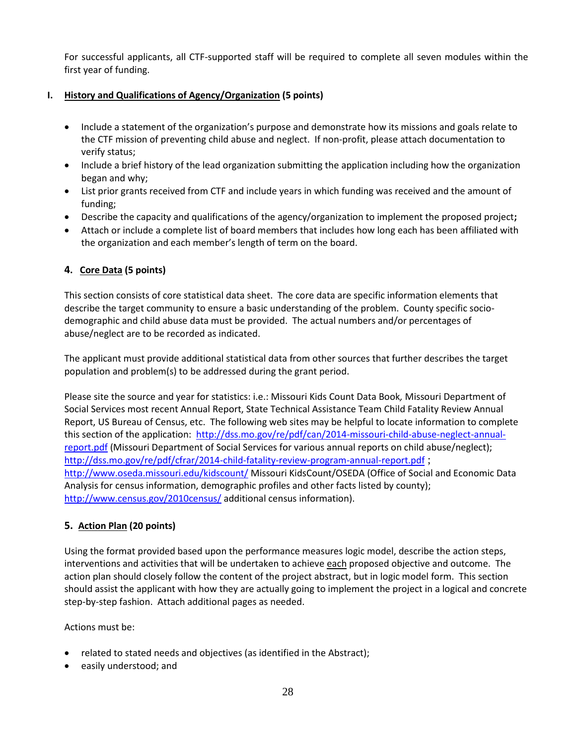For successful applicants, all CTF-supported staff will be required to complete all seven modules within the first year of funding.

#### **I. History and Qualifications of Agency/Organization (5 points)**

- Include a statement of the organization's purpose and demonstrate how its missions and goals relate to the CTF mission of preventing child abuse and neglect. If non-profit, please attach documentation to verify status;
- Include a brief history of the lead organization submitting the application including how the organization began and why;
- List prior grants received from CTF and include years in which funding was received and the amount of funding;
- Describe the capacity and qualifications of the agency/organization to implement the proposed project**;**
- Attach or include a complete list of board members that includes how long each has been affiliated with the organization and each member's length of term on the board.

#### **4. Core Data (5 points)**

This section consists of core statistical data sheet. The core data are specific information elements that describe the target community to ensure a basic understanding of the problem. County specific sociodemographic and child abuse data must be provided. The actual numbers and/or percentages of abuse/neglect are to be recorded as indicated.

The applicant must provide additional statistical data from other sources that further describes the target population and problem(s) to be addressed during the grant period.

Please site the source and year for statistics: i.e.: Missouri Kids Count Data Book*,* Missouri Department of Social Services most recent Annual Report, State Technical Assistance Team Child Fatality Review Annual Report, US Bureau of Census, etc. The following web sites may be helpful to locate information to complete this section of the application: [http://dss.mo.gov/re/pdf/can/2014-missouri-child-abuse-neglect-annual](http://dss.mo.gov/re/pdf/can/2014-missouri-child-abuse-neglect-annual-report.pdf)[report.pdf](http://dss.mo.gov/re/pdf/can/2014-missouri-child-abuse-neglect-annual-report.pdf) (Missouri Department of Social Services for various annual reports on child abuse/neglect); <http://dss.mo.gov/re/pdf/cfrar/2014-child-fatality-review-program-annual-report.pdf> ; <http://www.oseda.missouri.edu/kidscount/> Missouri KidsCount/OSEDA (Office of Social and Economic Data Analysis for census information, demographic profiles and other facts listed by county); <http://www.census.gov/2010census/> additional census information).

#### **5. Action Plan (20 points)**

Using the format provided based upon the performance measures logic model, describe the action steps, interventions and activities that will be undertaken to achieve each proposed objective and outcome. The action plan should closely follow the content of the project abstract, but in logic model form. This section should assist the applicant with how they are actually going to implement the project in a logical and concrete step-by-step fashion. Attach additional pages as needed.

Actions must be:

- related to stated needs and objectives (as identified in the Abstract);
- easily understood; and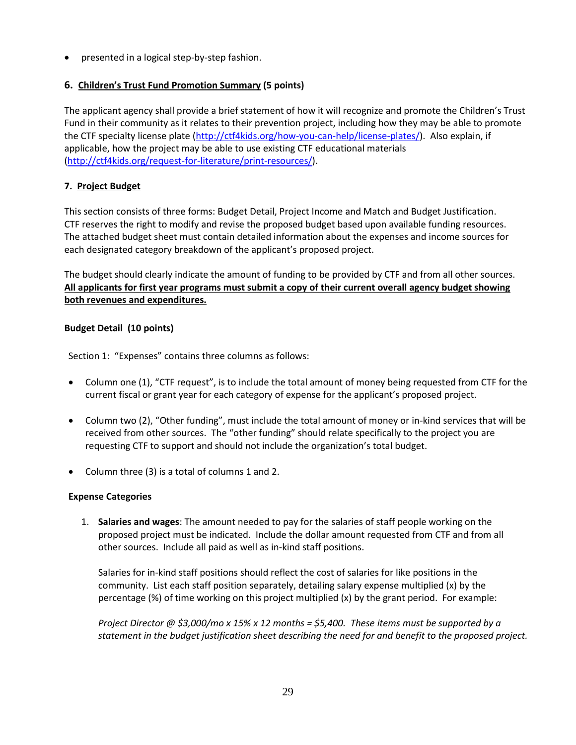presented in a logical step-by-step fashion.

#### **6. Children's Trust Fund Promotion Summary (5 points)**

The applicant agency shall provide a brief statement of how it will recognize and promote the Children's Trust Fund in their community as it relates to their prevention project, including how they may be able to promote the CTF specialty license plate [\(http://ctf4kids.org/how-you-can-help/license-plates/\)](http://ctf4kids.org/how-you-can-help/license-plates/). Also explain, if applicable, how the project may be able to use existing CTF educational materials [\(http://ctf4kids.org/request-for-literature/print-resources/\)](http://ctf4kids.org/request-for-literature/print-resources/).

#### **7. Project Budget**

This section consists of three forms: Budget Detail, Project Income and Match and Budget Justification. CTF reserves the right to modify and revise the proposed budget based upon available funding resources. The attached budget sheet must contain detailed information about the expenses and income sources for each designated category breakdown of the applicant's proposed project.

The budget should clearly indicate the amount of funding to be provided by CTF and from all other sources. **All applicants for first year programs must submit a copy of their current overall agency budget showing both revenues and expenditures.**

#### **Budget Detail (10 points)**

Section 1: "Expenses" contains three columns as follows:

- Column one (1), "CTF request", is to include the total amount of money being requested from CTF for the current fiscal or grant year for each category of expense for the applicant's proposed project.
- Column two (2), "Other funding", must include the total amount of money or in-kind services that will be received from other sources. The "other funding" should relate specifically to the project you are requesting CTF to support and should not include the organization's total budget.
- Column three (3) is a total of columns 1 and 2.

#### **Expense Categories**

1. **Salaries and wages**: The amount needed to pay for the salaries of staff people working on the proposed project must be indicated. Include the dollar amount requested from CTF and from all other sources. Include all paid as well as in-kind staff positions.

Salaries for in-kind staff positions should reflect the cost of salaries for like positions in the community. List each staff position separately, detailing salary expense multiplied (x) by the percentage (%) of time working on this project multiplied (x) by the grant period. For example:

*Project Director @ \$3,000/mo x 15% x 12 months = \$5,400. These items must be supported by a statement in the budget justification sheet describing the need for and benefit to the proposed project.*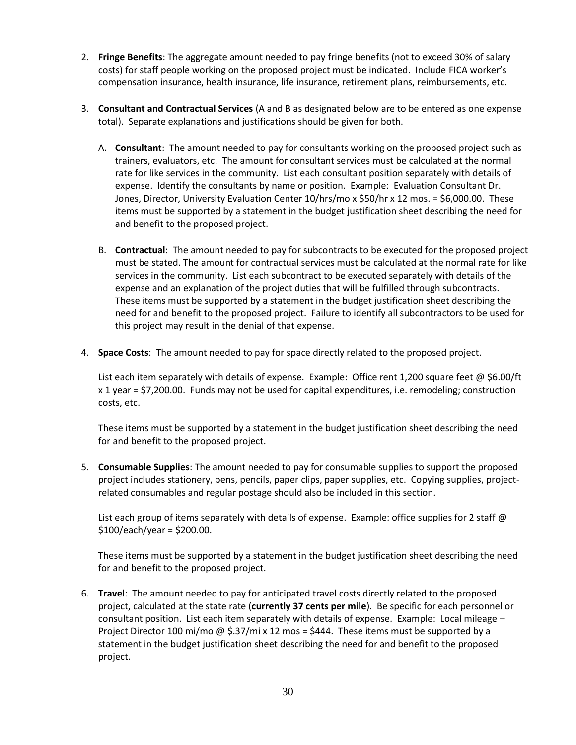- 2. **Fringe Benefits**: The aggregate amount needed to pay fringe benefits (not to exceed 30% of salary costs) for staff people working on the proposed project must be indicated. Include FICA worker's compensation insurance, health insurance, life insurance, retirement plans, reimbursements, etc.
- 3. **Consultant and Contractual Services** (A and B as designated below are to be entered as one expense total). Separate explanations and justifications should be given for both.
	- A. **Consultant**: The amount needed to pay for consultants working on the proposed project such as trainers, evaluators, etc. The amount for consultant services must be calculated at the normal rate for like services in the community. List each consultant position separately with details of expense. Identify the consultants by name or position. Example: Evaluation Consultant Dr. Jones, Director, University Evaluation Center 10/hrs/mo x \$50/hr x 12 mos. = \$6,000.00. These items must be supported by a statement in the budget justification sheet describing the need for and benefit to the proposed project.
	- B. **Contractual**: The amount needed to pay for subcontracts to be executed for the proposed project must be stated. The amount for contractual services must be calculated at the normal rate for like services in the community. List each subcontract to be executed separately with details of the expense and an explanation of the project duties that will be fulfilled through subcontracts. These items must be supported by a statement in the budget justification sheet describing the need for and benefit to the proposed project. Failure to identify all subcontractors to be used for this project may result in the denial of that expense.
- 4. **Space Costs**: The amount needed to pay for space directly related to the proposed project.

List each item separately with details of expense. Example: Office rent 1,200 square feet @ \$6.00/ft x 1 year = \$7,200.00. Funds may not be used for capital expenditures, i.e. remodeling; construction costs, etc.

These items must be supported by a statement in the budget justification sheet describing the need for and benefit to the proposed project.

5. **Consumable Supplies**: The amount needed to pay for consumable supplies to support the proposed project includes stationery, pens, pencils, paper clips, paper supplies, etc. Copying supplies, projectrelated consumables and regular postage should also be included in this section.

List each group of items separately with details of expense. Example: office supplies for 2 staff  $\omega$  $$100/each/year = $200.00.$ 

These items must be supported by a statement in the budget justification sheet describing the need for and benefit to the proposed project.

6. **Travel**: The amount needed to pay for anticipated travel costs directly related to the proposed project, calculated at the state rate (**currently 37 cents per mile**). Be specific for each personnel or consultant position. List each item separately with details of expense. Example: Local mileage – Project Director 100 mi/mo @ \$.37/mi x 12 mos = \$444. These items must be supported by a statement in the budget justification sheet describing the need for and benefit to the proposed project.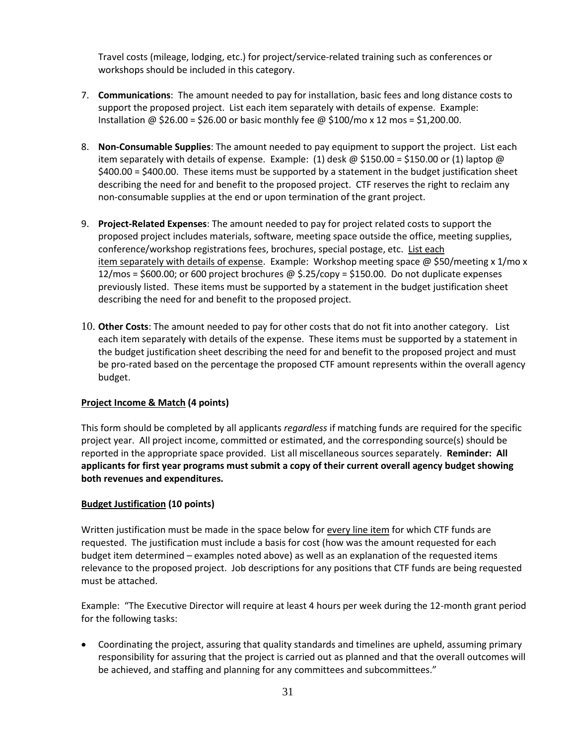Travel costs (mileage, lodging, etc.) for project/service-related training such as conferences or workshops should be included in this category.

- 7. **Communications**: The amount needed to pay for installation, basic fees and long distance costs to support the proposed project. List each item separately with details of expense. Example: Installation @  $$26.00 = $26.00$  or basic monthly fee @  $$100/mol \times 12$  mos = \$1,200.00.
- 8. **Non-Consumable Supplies**: The amount needed to pay equipment to support the project. List each item separately with details of expense. Example: (1) desk @ \$150.00 = \$150.00 or (1) laptop @ \$400.00 = \$400.00. These items must be supported by a statement in the budget justification sheet describing the need for and benefit to the proposed project. CTF reserves the right to reclaim any non-consumable supplies at the end or upon termination of the grant project.
- 9. **Project-Related Expenses**: The amount needed to pay for project related costs to support the proposed project includes materials, software, meeting space outside the office, meeting supplies, conference/workshop registrations fees, brochures, special postage, etc. List each item separately with details of expense. Example: Workshop meeting space @ \$50/meeting x 1/mo x 12/mos = \$600.00; or 600 project brochures @ \$.25/copy = \$150.00. Do not duplicate expenses previously listed. These items must be supported by a statement in the budget justification sheet describing the need for and benefit to the proposed project.
- 10. **Other Costs**: The amount needed to pay for other costs that do not fit into another category. List each item separately with details of the expense. These items must be supported by a statement in the budget justification sheet describing the need for and benefit to the proposed project and must be pro-rated based on the percentage the proposed CTF amount represents within the overall agency budget.

#### **Project Income & Match (4 points)**

This form should be completed by all applicants *regardless* if matching funds are required for the specific project year. All project income, committed or estimated, and the corresponding source(s) should be reported in the appropriate space provided. List all miscellaneous sources separately. **Reminder: All applicants for first year programs must submit a copy of their current overall agency budget showing both revenues and expenditures.**

#### **Budget Justification (10 points)**

Written justification must be made in the space below for every line item for which CTF funds are requested. The justification must include a basis for cost (how was the amount requested for each budget item determined – examples noted above) as well as an explanation of the requested items relevance to the proposed project. Job descriptions for any positions that CTF funds are being requested must be attached.

Example: "The Executive Director will require at least 4 hours per week during the 12-month grant period for the following tasks:

 Coordinating the project, assuring that quality standards and timelines are upheld, assuming primary responsibility for assuring that the project is carried out as planned and that the overall outcomes will be achieved, and staffing and planning for any committees and subcommittees."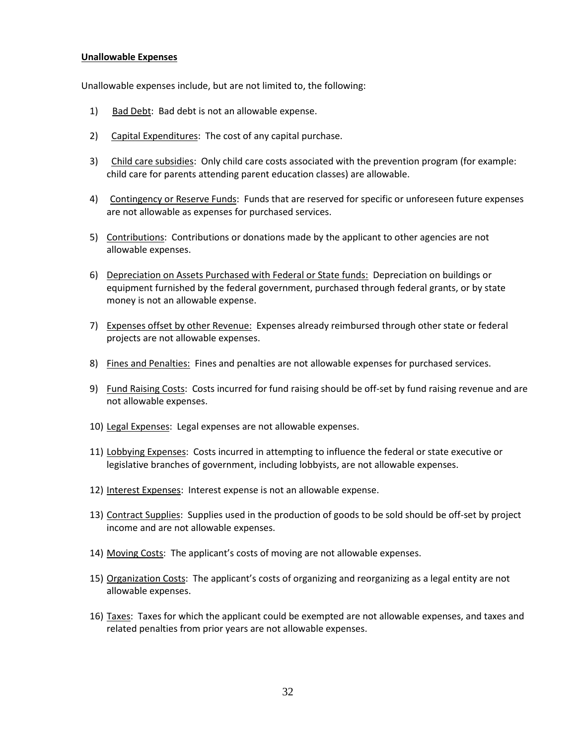#### **Unallowable Expenses**

Unallowable expenses include, but are not limited to, the following:

- 1) Bad Debt: Bad debt is not an allowable expense.
- 2) Capital Expenditures: The cost of any capital purchase.
- 3) Child care subsidies: Only child care costs associated with the prevention program (for example: child care for parents attending parent education classes) are allowable.
- 4) Contingency or Reserve Funds: Funds that are reserved for specific or unforeseen future expenses are not allowable as expenses for purchased services.
- 5) Contributions: Contributions or donations made by the applicant to other agencies are not allowable expenses.
- 6) Depreciation on Assets Purchased with Federal or State funds: Depreciation on buildings or equipment furnished by the federal government, purchased through federal grants, or by state money is not an allowable expense.
- 7) Expenses offset by other Revenue: Expenses already reimbursed through other state or federal projects are not allowable expenses.
- 8) Fines and Penalties: Fines and penalties are not allowable expenses for purchased services.
- 9) Fund Raising Costs: Costs incurred for fund raising should be off-set by fund raising revenue and are not allowable expenses.
- 10) Legal Expenses: Legal expenses are not allowable expenses.
- 11) Lobbying Expenses: Costs incurred in attempting to influence the federal or state executive or legislative branches of government, including lobbyists, are not allowable expenses.
- 12) Interest Expenses: Interest expense is not an allowable expense.
- 13) Contract Supplies: Supplies used in the production of goods to be sold should be off-set by project income and are not allowable expenses.
- 14) Moving Costs: The applicant's costs of moving are not allowable expenses.
- 15) Organization Costs: The applicant's costs of organizing and reorganizing as a legal entity are not allowable expenses.
- 16) Taxes: Taxes for which the applicant could be exempted are not allowable expenses, and taxes and related penalties from prior years are not allowable expenses.